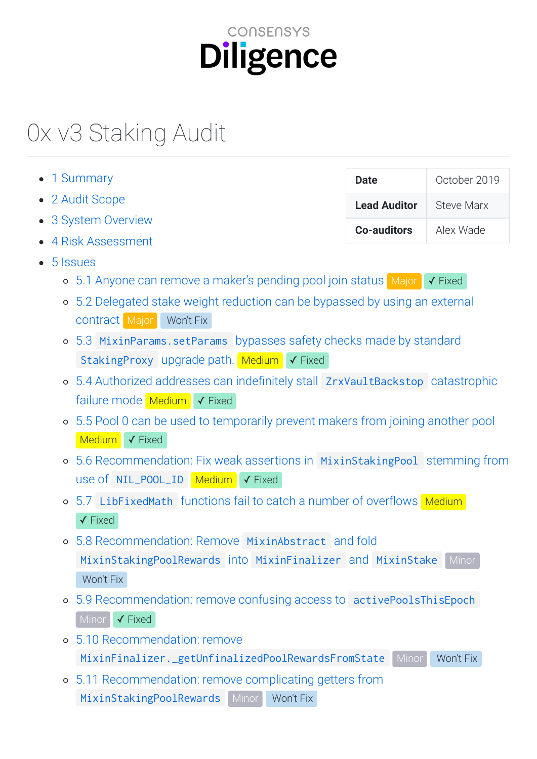# CONSENSYS Diligence

# 0x
v3
Staking
Audit

| 1 Summary                                 |                                                                                | <b>Date</b>         | October 2019      |
|-------------------------------------------|--------------------------------------------------------------------------------|---------------------|-------------------|
| • 2 Audit Scope                           |                                                                                | <b>Lead Auditor</b> | <b>Steve Marx</b> |
| • 3 System Overview<br><b>Co-auditors</b> |                                                                                |                     | Alex Wade         |
|                                           | 4 Risk Assessment                                                              |                     |                   |
| $\bullet$                                 | 5 Issues                                                                       |                     |                   |
| $\circ$                                   | 5.1 Anyone can remove a maker's pending pool join status Major                 |                     | $\sqrt{}$ Fixed   |
| $\circ$                                   | 5.2 Delegated stake weight reduction can be bypassed by using an external      |                     |                   |
|                                           | <b>CONTRACT Major</b><br>Won't Fix                                             |                     |                   |
| $\circ$                                   | 5.3 MixinParams.setParams bypasses safety checks made by standard              |                     |                   |
|                                           | StakingProxy upgrade path. Medium √ Fixed                                      |                     |                   |
| $\circ$                                   | 5.4 Authorized addresses can indefinitely stall ZrxVaultBackstop catastrophic  |                     |                   |
|                                           | failure mode Medium √ Fixed                                                    |                     |                   |
| $\circ$                                   | 5.5 Pool 0 can be used to temporarily prevent makers from joining another pool |                     |                   |
|                                           | Medium V Fixed                                                                 |                     |                   |
| $\circ$                                   | 5.6 Recommendation: Fix weak assertions in MixinStakingPool stemming from      |                     |                   |
|                                           | use of NIL_POOL_ID Medium √ Fixed                                              |                     |                   |
| $\circ$                                   | 5.7 LibFixedMath functions fail to catch a number of overflows Medium          |                     |                   |
|                                           | $\checkmark$ Fixed                                                             |                     |                   |
| $\circ$                                   | 5.8 Recommendation: Remove MixinAbstract and fold                              |                     |                   |
|                                           | MixinStakingPoolRewards into MixinFinalizer and MixinStake                     |                     | Minor             |
|                                           | Won't Fix                                                                      |                     |                   |
| $\circ$                                   | 5.9 Recommendation: remove confusing access to activePoolsThisEpoch            |                     |                   |
|                                           | $\checkmark$ Fixed<br>Minor                                                    |                     |                   |
| $\circ$                                   | 5.10 Recommendation: remove                                                    |                     |                   |
|                                           | MixinFinalizer._getUnfinalizedPoolRewardsFromState                             | Minor               | Won't Fix         |
| O                                         | 5.11 Recommendation: remove complicating getters from                          |                     |                   |
|                                           | MixinStakingPoolRewards Minor<br>Won't Fix                                     |                     |                   |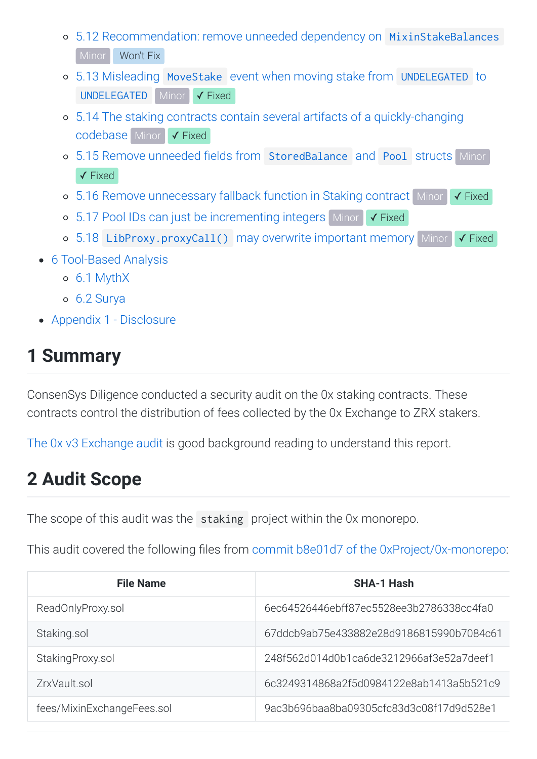- [5.12
Recommendation:
remove
unneeded
dependency
on](#page-25-0)  MixinStakeBalances Minor Won't Fix
- 5.13
Misleading MoveStake [event
when
moving
stake
from](#page-27-0)  UNDELEGATED to UNDELEGATED Minor √ Fixed
- [5.14
The
staking
contracts
contain
several
artifacts
of
a
quickly-changing](#page-29-0) codebase Minor √ Fixed
- o 5.15 Remove unneeded fields from StoredBalance and Pool structs Minor ✓ Fixed
- o 5.16 Remove unnecessary fallback function in Staking contract Minor √ Fixed
- **5.17 Pool IDs can just be incrementing integers** Minor √ Fixed
- o 5.18 LibProxy.proxyCall() may overwrite important memory Minor √ Fixed
- 6 Tool-Based Analysis
	- [6.1
	MythX](#page-36-1)
	- [6.2
	Surya](#page-37-0)
- Appendix 1 Disclosure

# <span id="page-1-0"></span>**1
Summary**

ConsenSys
Diligence
conducted
a
security
audit
on
the
0x
staking
contracts.
These contracts control the distribution of fees collected by the 0x Exchange to ZRX stakers.

[The
0x
v3
Exchange
audit](http://localhost:1313/audits/private/rayyta2k-0x-v3-exchange/) is
good
background
reading
to
understand
this
report.

# <span id="page-1-1"></span>**2
Audit
Scope**

The scope of this audit was the staking project within the 0x monorepo.

This audit covered the following files from commit b8e01d7 of the 0xProject/0x-monorepo:

| File Name                  | <b>SHA-1 Hash</b>                        |
|----------------------------|------------------------------------------|
| ReadOnlyProxy.sol          | 6ec64526446ebff87ec5528ee3b2786338cc4fa0 |
| Staking.sol                | 67ddcb9ab75e433882e28d9186815990b7084c61 |
| StakingProxy.sol           | 248f562d014d0b1ca6de3212966af3e52a7deef1 |
| ZrxVault.sol               | 6c3249314868a2f5d0984122e8ab1413a5b521c9 |
| fees/MixinExchangeFees.sol | 9ac3b696baa8ba09305cfc83d3c08f17d9d528e1 |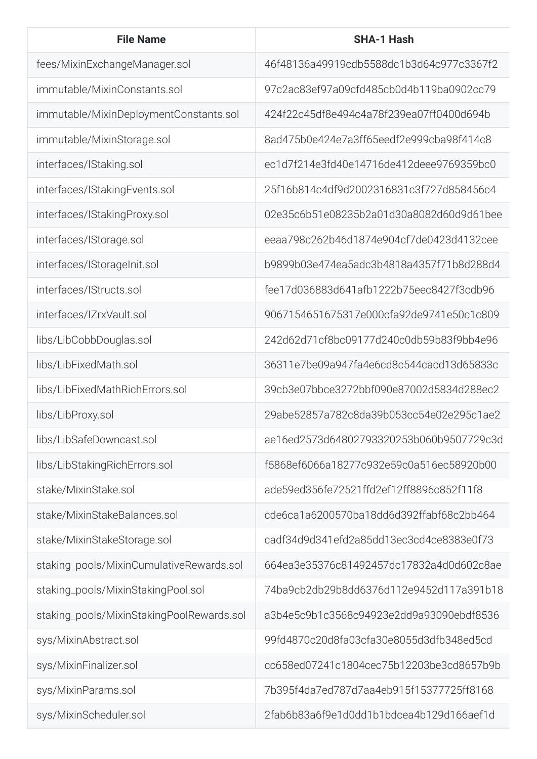| <b>File Name</b>                          | <b>SHA-1 Hash</b>                        |
|-------------------------------------------|------------------------------------------|
| fees/MixinExchangeManager.sol             | 46f48136a49919cdb5588dc1b3d64c977c3367f2 |
| immutable/MixinConstants.sol              | 97c2ac83ef97a09cfd485cb0d4b119ba0902cc79 |
| immutable/MixinDeploymentConstants.sol    | 424f22c45df8e494c4a78f239ea07ff0400d694b |
| immutable/MixinStorage.sol                | 8ad475b0e424e7a3ff65eedf2e999cba98f414c8 |
| interfaces/IStaking.sol                   | ec1d7f214e3fd40e14716de412deee9769359bc0 |
| interfaces/IStakingEvents.sol             | 25f16b814c4df9d2002316831c3f727d858456c4 |
| interfaces/IStakingProxy.sol              | 02e35c6b51e08235b2a01d30a8082d60d9d61bee |
| interfaces/IStorage.sol                   | eeaa798c262b46d1874e904cf7de0423d4132cee |
| interfaces/IStorageInit.sol               | b9899b03e474ea5adc3b4818a4357f71b8d288d4 |
| interfaces/IStructs.sol                   | fee17d036883d641afb1222b75eec8427f3cdb96 |
| interfaces/IZrxVault.sol                  | 9067154651675317e000cfa92de9741e50c1c809 |
| libs/LibCobbDouglas.sol                   | 242d62d71cf8bc09177d240c0db59b83f9bb4e96 |
| libs/LibFixedMath.sol                     | 36311e7be09a947fa4e6cd8c544cacd13d65833c |
| libs/LibFixedMathRichErrors.sol           | 39cb3e07bbce3272bbf090e87002d5834d288ec2 |
| libs/LibProxy.sol                         | 29abe52857a782c8da39b053cc54e02e295c1ae2 |
| libs/LibSafeDowncast.sol                  | ae16ed2573d64802793320253b060b9507729c3d |
| libs/LibStakingRichErrors.sol             | f5868ef6066a18277c932e59c0a516ec58920b00 |
| stake/MixinStake.sol                      | ade59ed356fe72521ffd2ef12ff8896c852f11f8 |
| stake/MixinStakeBalances.sol              | cde6ca1a6200570ba18dd6d392ffabf68c2bb464 |
| stake/MixinStakeStorage.sol               | cadf34d9d341efd2a85dd13ec3cd4ce8383e0f73 |
| staking_pools/MixinCumulativeRewards.sol  | 664ea3e35376c81492457dc17832a4d0d602c8ae |
| staking_pools/MixinStakingPool.sol        | 74ba9cb2db29b8dd6376d112e9452d117a391b18 |
| staking_pools/MixinStakingPoolRewards.sol | a3b4e5c9b1c3568c94923e2dd9a93090ebdf8536 |
| sys/MixinAbstract.sol                     | 99fd4870c20d8fa03cfa30e8055d3dfb348ed5cd |
| sys/MixinFinalizer.sol                    | cc658ed07241c1804cec75b12203be3cd8657b9b |
| sys/MixinParams.sol                       | 7b395f4da7ed787d7aa4eb915f15377725ff8168 |
| sys/MixinScheduler.sol                    | 2fab6b83a6f9e1d0dd1b1bdcea4b129d166aef1d |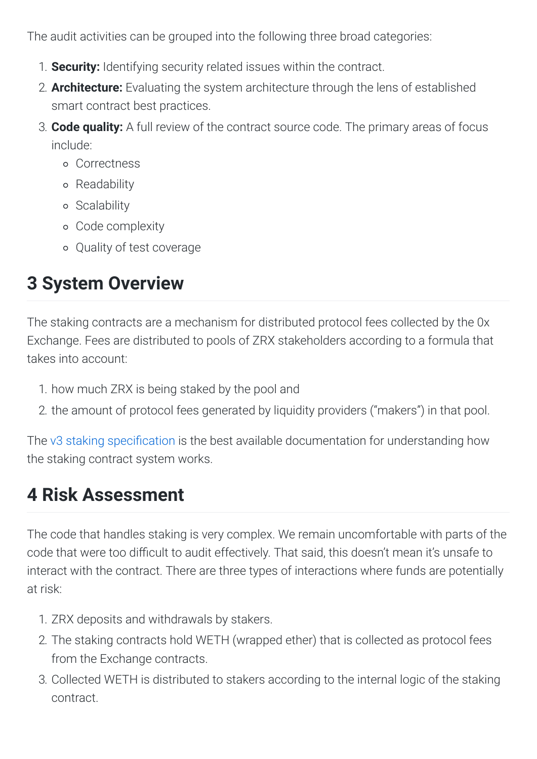The
audit
activities
can
be
grouped
into
the
following
three
broad
categories:

- 1. **Security:** Identifying security related issues within the contract.
- 2. **Architecture:** Evaluating the system architecture through the lens of established smart
contract
best
practices.
- 3. **Code quality:** A full review of the contract source code. The primary areas of focus include:
	- Correctness
	- Readability
	- o Scalability
	- Code
	complexity
	- Quality
	of
	test
	coverage

# <span id="page-3-0"></span>**3
System
Overview**

The staking contracts are a mechanism for distributed protocol fees collected by the 0x Exchange. Fees are distributed to pools of ZRX stakeholders according to a formula that takes
into
account:

- 1.
how
much
ZRX
is
being
staked
by
the
pool
and
- 2. the amount of protocol fees generated by liquidity providers ("makers") in that pool.

The v3 staking specification is the best available documentation for understanding how the
staking
contract
system
works.

# <span id="page-3-1"></span>**4
Risk
Assessment**

The code that handles staking is very complex. We remain uncomfortable with parts of the code that were too difficult to audit effectively. That said, this doesn't mean it's unsafe to interact with the contract. There are three types of interactions where funds are potentially at
risk:

- 1.
ZRX
deposits
and
withdrawals
by
stakers.
- 2.
The
staking
contracts
hold
WETH
(wrapped
ether)
that
is
collected
as
protocol
fees from
the
Exchange
contracts.
- 3. Collected WETH is distributed to stakers according to the internal logic of the staking contract.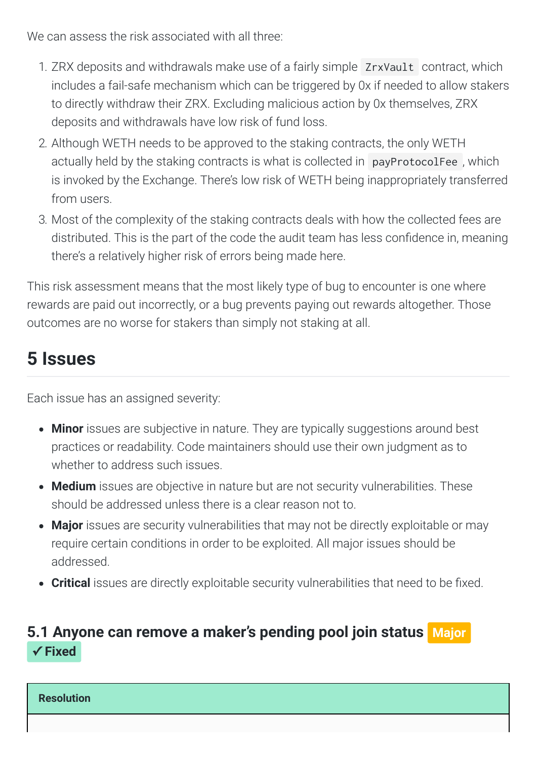We can assess the risk associated with all three:

- 1.
ZRX
deposits
and
withdrawals
make
use
of
a
fairly
simple ZrxVault contract,
which includes a fail-safe mechanism which can be triggered by 0x if needed to allow stakers to
directly
withdraw
their
ZRX.
Excluding
malicious
action
by
0x
themselves,
ZRX deposits
and
withdrawals
have
low
risk
of
fund
loss.
- 2.
Although
WETH
needs
to
be
approved
to
the
staking
contracts,
the
only
WETH actually held by the staking contracts is what is collected in payProtocolFee, which is
invoked
by
the
Exchange.
There's
low
risk
of
WETH
being
inappropriately
transferred from
users.
- 3.
Most
of
the
complexity
of
the
staking
contracts
deals
with
how
the
collected
fees
are distributed. This is the part of the code the audit team has less confidence in, meaning there's
a
relatively
higher
risk
of
errors
being
made
here.

This risk assessment means that the most likely type of bug to encounter is one where rewards are paid out incorrectly, or a bug prevents paying out rewards altogether. Those outcomes
are
no
worse
for
stakers
than
simply
not
staking
at
all.

# <span id="page-4-0"></span>**5
Issues**

Each
issue
has
an
assigned
severity:

- **Minor** issues are subjective in nature. They are typically suggestions around best practices
or
readability.
Code
maintainers
should
use
their
own
judgment
as
to whether
to
address
such
issues.
- Medium issues are objective in nature but are not security vulnerabilities. These should be addressed unless there is a clear reason not to.
- Major issues are security vulnerabilities that may not be directly exploitable or may require certain conditions in order to be exploited. All major issues should be addressed.
- Critical issues are directly exploitable security vulnerabilities that need to be fixed.

# <span id="page-4-1"></span>**[5.1
Anyone
can
remove
a
maker's
pending
pool
join
status](#page-4-1)  Major ✓ Fixed**

### **Resolution**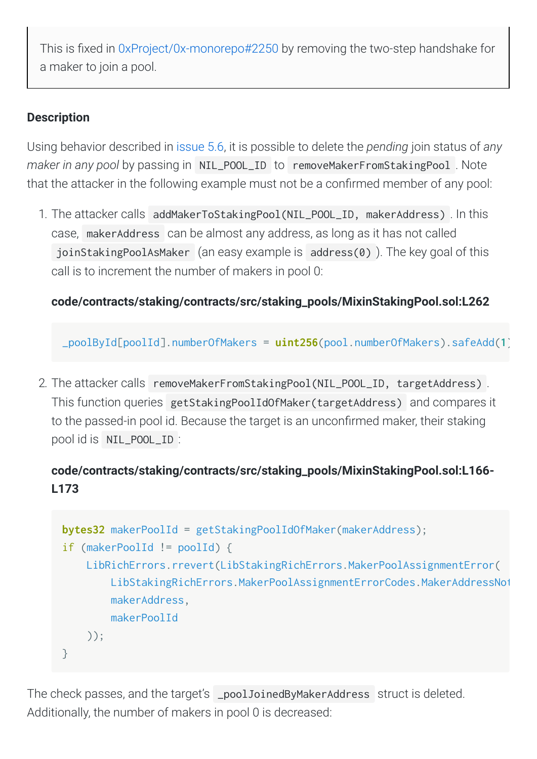This is fixed in 0xProject/0x-monorepo#2250 by removing the two-step handshake for a
maker
to
join
a
pool.

### **Description**

Using behavior described in issue 5.6, it is possible to delete the *pending* join status of any maker in any pool by passing in NIL\_POOL\_ID to removeMakerFromStakingPool. Note that the attacker in the following example must not be a confirmed member of any pool:

1. The attacker calls addMakerToStakingPool(NIL\_POOL\_ID, makerAddress). In this case, makerAddress can
be
almost
any
address,
as
long
as
it
has
not
called joinStakingPoolAsMaker (an easy example is address(0)). The key goal of this call
is
to
increment
the
number
of
makers
in
pool
0:

### **code/contracts/staking/contracts/src/staking\_pools/MixinStakingPool.sol:L262**

\_poolById[poolId].numberOfMakers = **uint256**(pool.numberOfMakers).safeAdd(**1**)

2. The attacker calls removeMakerFromStakingPool(NIL\_POOL\_ID, targetAddress). This
function
queries getStakingPoolIdOfMaker(targetAddress) and
compares
it to the passed-in pool id. Because the target is an unconfirmed maker, their staking pool
id
is NIL\_POOL\_ID :

### **code/contracts/staking/contracts/src/staking\_pools/MixinStakingPool.sol:L166- L173**

```
bytes32 makerPoolId = getStakingPoolIdOfMaker(makerAddress);
if (makerPoolId != poolId) {

LibRichErrors.rrevert(LibStakingRichErrors.MakerPoolAssignmentError(

LibStakingRichErrors.MakerPoolAssignmentErrorCodes.MakerAddressNot

makerAddress,

makerPoolId

));
}
```
The check passes, and the target's \_poolJoinedByMakerAddress struct is deleted. Additionally,
the
number
of
makers
in
pool
0
is
decreased: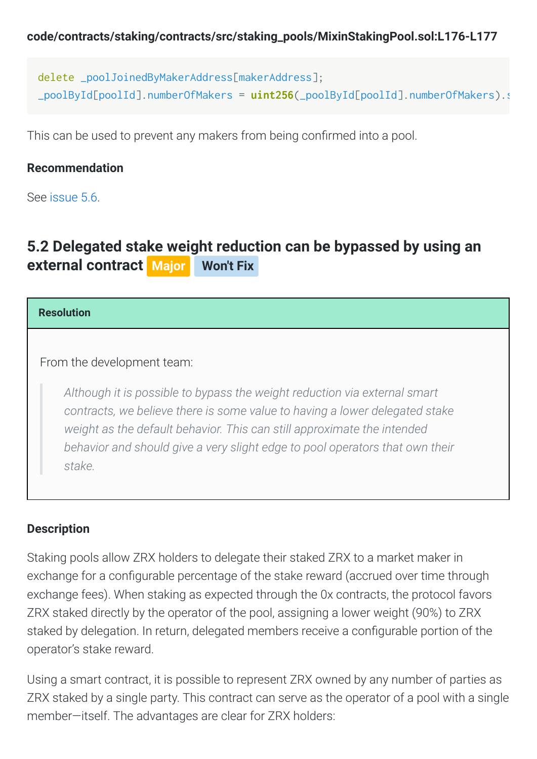delete \_poolJoinedByMakerAddress[makerAddress]; \_poolById[poolId].numberOfMakers = **uint256**(\_poolById[poolId].numberOfMakers).s

This can be used to prevent any makers from being confirmed into a pool.

### **Recommendation**

See [issue
5.6.](#page-12-0)

# <span id="page-6-0"></span>**[5.2
Delegated
stake
weight
reduction
can
be
bypassed
by
using
an](#page-6-0) external
contract Major Won't Fix**

#### **Resolution**

From
the
development
team:

*Although
it
is
possible
to
bypass
the
weight
reduction
via
external
smart contracts,
we
believe
there
is
some
value
to
having
a
lower
delegated
stake* weight as the default behavior. This can still approximate the intended behavior and should give a very slight edge to pool operators that own their *stake.*

### **Description**

Staking pools allow ZRX holders to delegate their staked ZRX to a market maker in exchange for a configurable percentage of the stake reward (accrued over time through exchange fees). When staking as expected through the 0x contracts, the protocol favors ZRX staked directly by the operator of the pool, assigning a lower weight (90%) to ZRX staked by delegation. In return, delegated members receive a configurable portion of the operator's
stake
reward.

Using a smart contract, it is possible to represent ZRX owned by any number of parties as ZRX staked by a single party. This contract can serve as the operator of a pool with a single member—itself.
The
advantages
are
clear
for
ZRX
holders: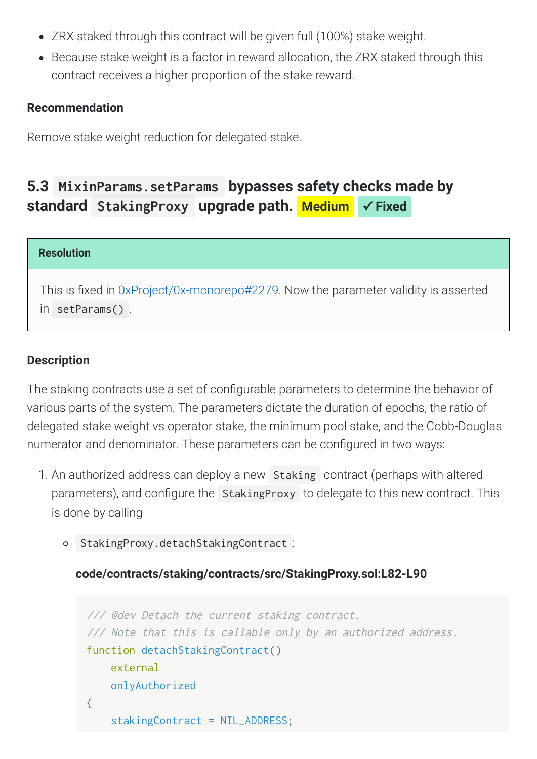- ZRX staked through this contract will be given full (100%) stake weight.
- Because stake weight is a factor in reward allocation, the ZRX staked through this contract
receives
a
higher
proportion
of
the
stake
reward.

### **Recommendation**

Remove
stake
weight
reduction
for
delegated
stake.

# <span id="page-7-0"></span>**5.3 MixinParams.setParams [bypasses
safety
checks
made
by](#page-7-0) standard StakingProxy upgrade
path. Medium ✓ Fixed**

#### **Resolution**

This is fixed in 0xProject/0x-monorepo#2279. Now the parameter validity is asserted in setParams() .

### **Description**

The staking contracts use a set of configurable parameters to determine the behavior of various parts of the system. The parameters dictate the duration of epochs, the ratio of delegated
stake
weight
vs
operator
stake,
the
minimum
pool
stake,
and
the
Cobb-Douglas numerator and denominator. These parameters can be configured in two ways:

- 1.
An
authorized
address
can
deploy
a
new Staking contract
(perhaps
with
altered parameters), and configure the StakingProxy to delegate to this new contract. This is
done
by
calling
	- o StakingProxy.detachStakingContract :

### **code/contracts/staking/contracts/src/StakingProxy.sol:L82-L90**

```
///
@dev
Detach
the
current
staking
contract.
/// Note that this is callable only by an authorized address.
function detachStakingContract()

external

onlyAuthorized
{
    stakingContract = NIL_ADDRESS;
```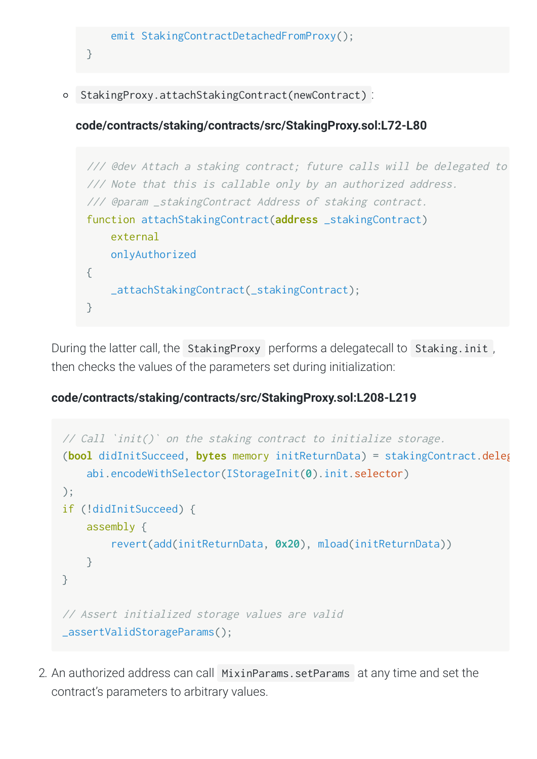```

emit StakingContractDetachedFromProxy();
```
StakingProxy.attachStakingContract(newContract) :

}

**code/contracts/staking/contracts/src/StakingProxy.sol:L72-L80**



During the latter call, the StakingProxy performs a delegatecall to Staking. init, then
checks
the
values
of
the
parameters
set
during
initialization:

### **code/contracts/staking/contracts/src/StakingProxy.sol:L208-L219**

```
//
Call
`init()`
on
the
staking
contract
to
initialize
storage.
(bool didInitSucceed, bytes memory initReturnData) = stakingContract.deleg

abi.encodeWithSelector(IStorageInit(0).init.selector)
);
if (!didInitSucceed) {

assembly {

revert(add(initReturnData, 0x20), mload(initReturnData))

}
}
//
Assert
initialized
storage
values
are
valid
_assertValidStorageParams();
```
2. An authorized address can call MixinParams. setParams at any time and set the contract's
parameters
to
arbitrary
values.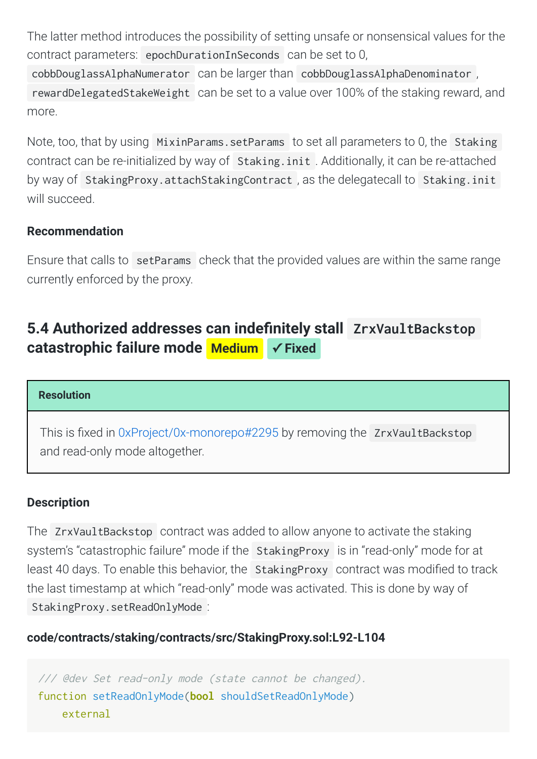The latter method introduces the possibility of setting unsafe or nonsensical values for the contract
parameters: epochDurationInSeconds can
be
set
to
0,

cobbDouglassAlphaNumerator can be larger than cobbDouglassAlphaDenominator, rewardDelegatedStakeWeight can be set to a value over 100% of the staking reward, and more.

Note, too, that by using MixinParams. setParams to set all parameters to 0, the Staking contract can be re-initialized by way of Staking. init. Additionally, it can be re-attached by
way
of StakingProxy.attachStakingContract ,
as
the
delegatecall
to Staking.init will
succeed.

### **Recommendation**

Ensure that calls to setParams check that the provided values are within the same range currently
enforced
by
the
proxy.

# <span id="page-9-0"></span>**5.4 Authorized addresses can indefinitely stall ZrxVaultBackstop catastrophic
failure
mode Medium ✓ Fixed**

### **Resolution**

This is fixed in 0xProject/0x-monorepo#2295 by removing the ZrxVaultBackstop and
read-only
mode
altogether.

### **Description**

The ZrxVaultBackstop contract was added to allow anyone to activate the staking system's "catastrophic failure" mode if the StakingProxy is in "read-only" mode for at least 40 days. To enable this behavior, the StakingProxy contract was modified to track the last timestamp at which "read-only" mode was activated. This is done by way of StakingProxy.setReadOnlyMode :

### **code/contracts/staking/contracts/src/StakingProxy.sol:L92-L104**

///
@dev
Set
read-only
mode
(state
cannot
be
changed). function setReadOnlyMode(**bool** shouldSetReadOnlyMode) external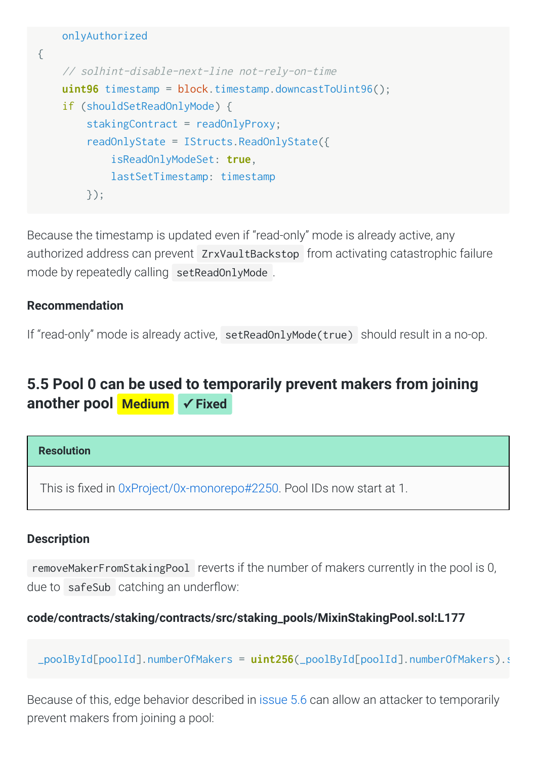```

onlyAuthorized
{

//
solhint-disable-next-line
not-rely-on-time

uint96 timestamp = block.timestamp.downcastToUint96();

if (shouldSetReadOnlyMode) {
         stakingContract = readOnlyProxy;

readOnlyState = IStructs.ReadOnlyState({

isReadOnlyModeSet: true,

lastSetTimestamp: timestamp

});
```
Because the timestamp is updated even if "read-only" mode is already active, any authorized
address
can
prevent ZrxVaultBackstop from
activating
catastrophic
failure mode
by
repeatedly
calling setReadOnlyMode .

### **Recommendation**

If "read-only" mode is already active, setReadOnlyMode(true) should result in a no-op.

## <span id="page-10-0"></span>**[5.5
Pool
0
can
be
used
to
temporarily
prevent
makers
from
joining](#page-10-0) another
pool Medium ✓ Fixed**

**Resolution**

This is fixed in 0xProject/0x-monorepo#2250. Pool IDs now start at 1.

#### **Description**

removeMakerFromStakingPool reverts if the number of makers currently in the pool is 0, due to safeSub catching an underflow:

### **code/contracts/staking/contracts/src/staking\_pools/MixinStakingPool.sol:L177**

\_poolById[poolId].numberOfMakers = **uint256**(\_poolById[poolId].numberOfMakers).s

Because of this, edge behavior described in issue 5.6 can allow an attacker to temporarily prevent
makers
from
joining
a
pool: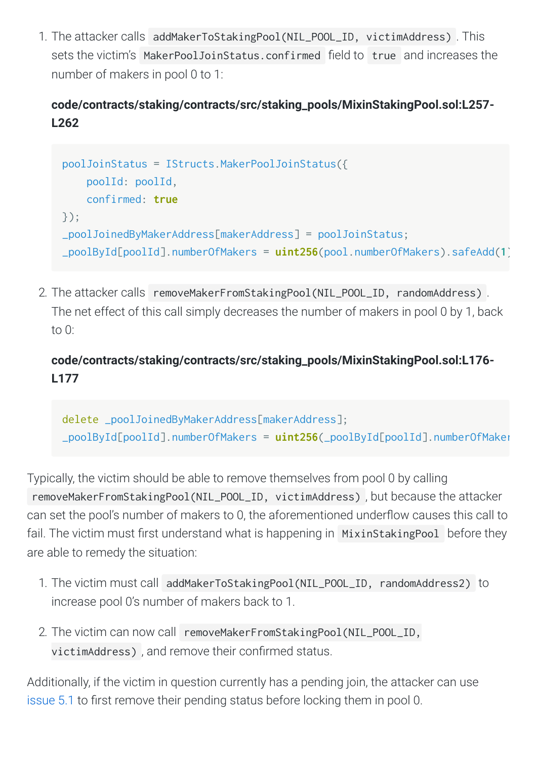1.
The
attacker
calls addMakerToStakingPool(NIL\_POOL\_ID,
victimAddress) .
This sets the victim's MakerPoolJoinStatus.confirmed field to true and increases the number
of
makers
in
pool
0
to
1:

### **code/contracts/staking/contracts/src/staking\_pools/MixinStakingPool.sol:L257- L262**

```
poolJoinStatus = IStructs.MakerPoolJoinStatus({

poolId: poolId,

confirmed: true
});
_poolJoinedByMakerAddress[makerAddress] = poolJoinStatus;
_poolById[poolId].numberOfMakers = uint256(pool.numberOfMakers).safeAdd(1)
```
2. The attacker calls removeMakerFromStakingPool(NIL\_POOL\_ID, randomAddress). The net effect of this call simply decreases the number of makers in pool 0 by 1, back to
0:

### **code/contracts/staking/contracts/src/staking\_pools/MixinStakingPool.sol:L176- L177**

```
delete _poolJoinedByMakerAddress[makerAddress];
_poolById[poolId].numberOfMakers = uint256(_poolById[poolId].numberOfMaker
```
Typically, the victim should be able to remove themselves from pool 0 by calling removeMakerFromStakingPool(NIL\_POOL\_ID,
victimAddress) ,
but
because
the
attacker can set the pool's number of makers to 0, the aforementioned underflow causes this call to fail. The victim must first understand what is happening in MixinStakingPool before they are
able
to
remedy
the
situation:

- 1.
The
victim
must
call addMakerToStakingPool(NIL\_POOL\_ID,
randomAddress2) to increase pool 0's number of makers back to 1.
- 2.
The
victim
can
now
call removeMakerFromStakingPool(NIL\_POOL\_ID, victimAddress), and remove their confirmed status.

Additionally, if the victim in question currently has a pending join, the attacker can use issue 5.1 to first remove their pending status before locking them in pool 0.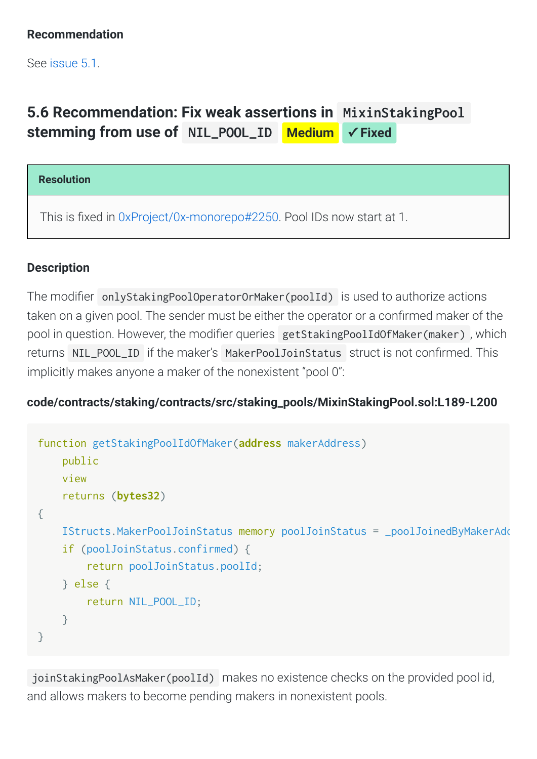See [issue
5.1.](#page-4-1)

# <span id="page-12-0"></span>**[5.6
Recommendation:
Fix
weak
assertions
in](#page-12-0)  MixinStakingPool stemming
from
use
of NIL\_POOL\_ID Medium ✓ Fixed**

### **Resolution**

This is fixed in 0xProject/0x-monorepo#2250. Pool IDs now start at 1.

### **Description**

The modifier onlyStakingPoolOperatorOrMaker(poolId) is used to authorize actions taken on a given pool. The sender must be either the operator or a confirmed maker of the pool in question. However, the modifier queries getStakingPoolIdOfMaker(maker), which returns NIL POOL ID if the maker's MakerPoolJoinStatus struct is not confirmed. This implicitly makes anyone a maker of the nonexistent "pool 0":

### **code/contracts/staking/contracts/src/staking\_pools/MixinStakingPool.sol:L189-L200**

```
function getStakingPoolIdOfMaker(address makerAddress)

public

view

returns (bytes32)
{

IStructs.MakerPoolJoinStatus memory poolJoinStatus = _poolJoinedByMakerAdd

if (poolJoinStatus.confirmed) {

return poolJoinStatus.poolId;

} else {

return NIL_POOL_ID;

}
}
```
joinStakingPoolAsMaker(poolId) makes no existence checks on the provided poolid, and
allows
makers
to
become
pending
makers
in
nonexistent
pools.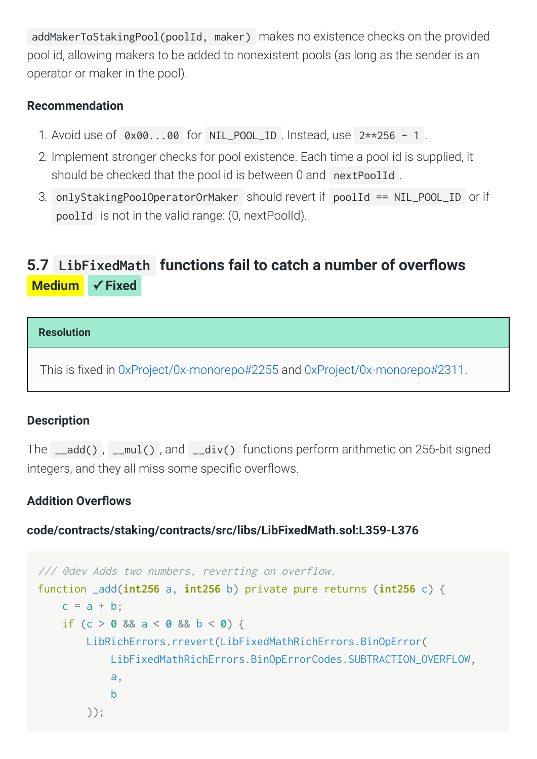addMakerToStakingPool(poolId, maker) makes no existence checks on the provided pool
id,
allowing
makers
to
be
added
to
nonexistent
pools
(as
long
as
the
sender
is
an operator
or
maker
in
the
pool).

### **Recommendation**

- 1. Avoid use of  $\theta \times \theta \theta$ ... $\theta \theta$  for NIL POOL ID. Instead, use  $2**256 1$ .
- 2. Implement stronger checks for pool existence. Each time a pool id is supplied, it should be checked that the pool id is between 0 and nextPoolId.
- 3. onlyStakingPoolOperatorOrMaker should
revert
if poolId
==
NIL\_POOL\_ID or
if poolId is
not
in
the
valid
range:
(0,
nextPoolId).

# <span id="page-13-0"></span>5.7 LibFixedMath functions fail to catch a number of overflows **Medium ✓ Fixed**

### **Resolution**

This is fixed in 0xProject/0x-monorepo#2255 and [0xProject/0x-monorepo#2311](https://github.com/0xProject/0x-monorepo/pull/2311).

### **Description**

The \_\_add(), \_\_mul(), and \_\_div() functions perform arithmetic on 256-bit signed integers, and they all miss some specific overflows.

### **Addition Overflows**

**code/contracts/staking/contracts/src/libs/LibFixedMath.sol:L359-L376**

```
///
@dev
Adds
two
numbers,
reverting
on
overflow.
function _add(int256 a, int256 b) private pure returns (int256 c) {
    c = a + b;

if (c > 0 && a < 0 && b < 0) {

LibRichErrors.rrevert(LibFixedMathRichErrors.BinOpError(

LibFixedMathRichErrors.BinOpErrorCodes.SUBTRACTION_OVERFLOW,

a,
b b

));
```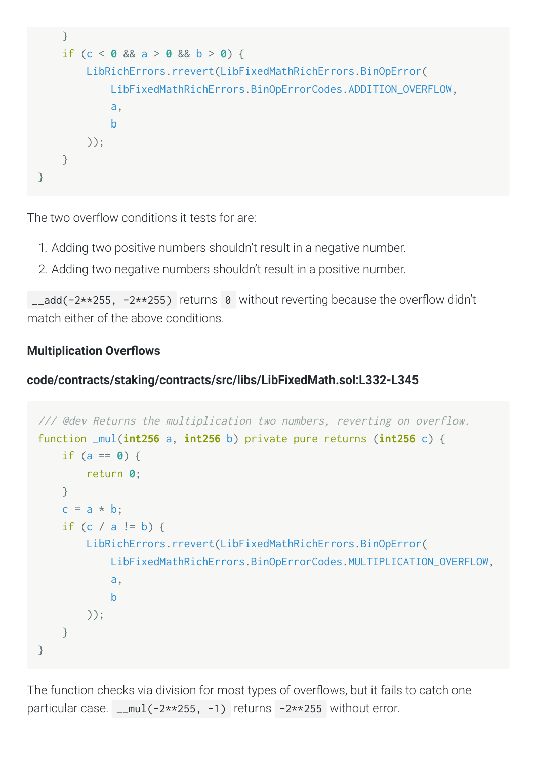```

}

if (c < 0 && a > 0 && b > 0) {

LibRichErrors.rrevert(LibFixedMathRichErrors.BinOpError(

LibFixedMathRichErrors.BinOpErrorCodes.ADDITION_OVERFLOW,

a,
b b

));

}
}
```
The two overflow conditions it tests for are:

- 1. Adding two positive numbers shouldn't result in a negative number.
- 2. Adding two negative numbers shouldn't result in a positive number.

\_\_add(-2\*\*255, -2\*\*255) returns 0 without reverting because the overflow didn't match
either
of
the
above
conditions.

### **Multiplication Overflows**

**code/contracts/staking/contracts/src/libs/LibFixedMath.sol:L332-L345**

```
///
@dev
Returns
the
multiplication
two
numbers,
reverting
on
overflow.
function _mul(int256 a, int256 b) private pure returns (int256 c) {

if (a == 0) {

return 0;

}
    c = a * b;
    if (c / a != b) {

LibRichErrors.rrevert(LibFixedMathRichErrors.BinOpError(

LibFixedMathRichErrors.BinOpErrorCodes.MULTIPLICATION_OVERFLOW,

a,

b

));

}
}
```
The function checks via division for most types of overflows, but it fails to catch one particular case. \_\_mul(-2\*\*255, -1) returns -2\*\*255 without error.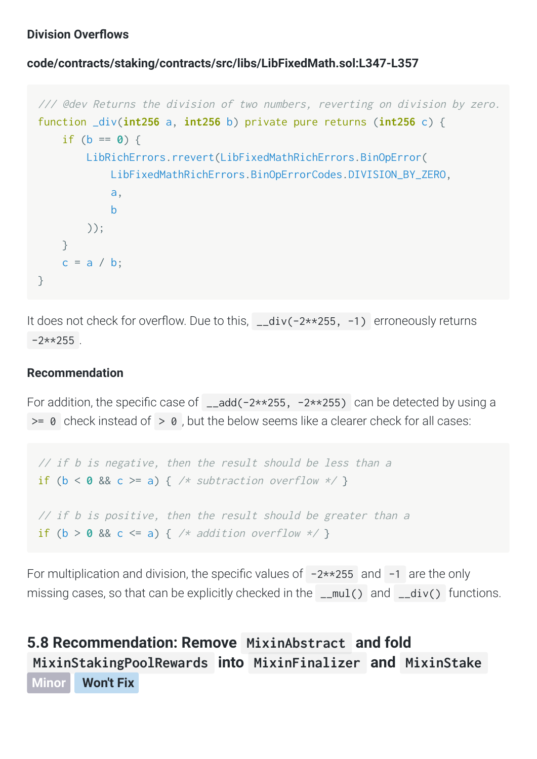#### **Division Overflows**

**code/contracts/staking/contracts/src/libs/LibFixedMath.sol:L347-L357**

```
/// @dev Returns the division of two numbers, reverting on division by zero.
function _div(int256 a, int256 b) private pure returns (int256 c) {
    if (b == 0) {

LibRichErrors.rrevert(LibFixedMathRichErrors.BinOpError(

LibFixedMathRichErrors.BinOpErrorCodes.DIVISION_BY_ZERO,

a,
b b

));

}
    c = a / b;
}
```
It does not check for overflow. Due to this, \_\_div(-2\*\*255, -1) erroneously returns  $-2**255$ 

#### **Recommendation**

For addition, the specific case of \_\_add(-2\*\*255, -2\*\*255) can be detected by using a  $\geq$  0 check instead of  $\geq$  0, but the below seems like a clearer check for all cases:

```
// if b is negative, then the result should be less than a
if (b < 0 \&c >= a) { /* subtraction overflow */ }
// if b is positive, then the result should be greater than a
if (b > 0 && c \le a) { /* addition overflow */ }
```
For multiplication and division, the specific values of  $-2**255$  and  $-1$  are the only missing cases, so that can be explicitly checked in the \_\_mul() and \_\_div() functions.

# <span id="page-15-0"></span>**[5.8
Recommendation:
Remove](#page-15-0)  MixinAbstract and
fold MixinStakingPoolRewards into MixinFinalizer and MixinStake Minor Won't Fix**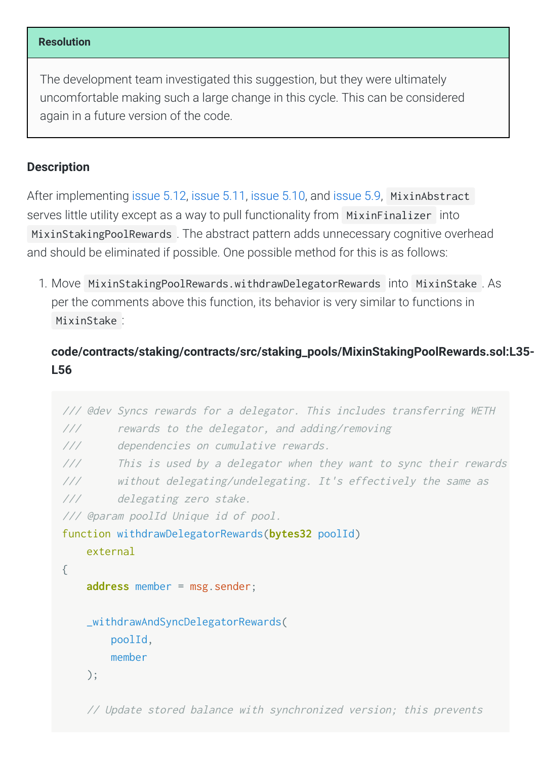#### **Resolution**

The
development
team
investigated
this
suggestion,
but
they
were
ultimately uncomfortable
making
such
a
large
change
in
this
cycle.
This
can
be
considered again
in
a
future
version
of
the
code.

#### **Description**

After implementing issue 5.12, issue 5.11, issue 5.10, and issue 5.9, MixinAbstract serves little utility except as a way to pull functionality from MixinFinalizer into MixinStakingPoolRewards. The abstract pattern adds unnecessary cognitive overhead and
should
be
eliminated
if
possible.
One
possible
method
for
this
is
as
follows:

1.
Move MixinStakingPoolRewards.withdrawDelegatorRewards into MixinStake .
As per the comments above this function, its behavior is very similar to functions in MixinStake :

### **code/contracts/staking/contracts/src/staking\_pools/MixinStakingPoolRewards.sol:L35- L56**

```
///
@dev
Syncs
rewards
for
a
delegator.
This
includes
transferring
WETH
///

rewards
to
the
delegator,
and
adding/removing
///

dependencies
on
cumulative
rewards.
///

This
is
used
by
a
delegator
when
they
want
to
sync
their
rewards
/// without delegating/undelegating. It's effectively the same as
///

delegating
zero
stake.
///
@param
poolId
Unique
id
of
pool.
function withdrawDelegatorRewards(bytes32 poolId)

external
{

address member = msg.sender;

_withdrawAndSyncDelegatorRewards(

poolId,

member

);
```
//
Update
stored
balance
with
synchronized
version;
this
prevents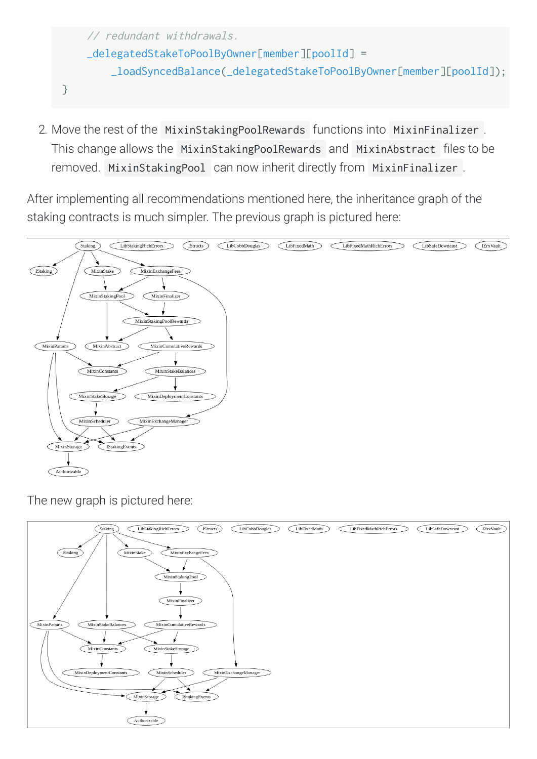

2. Move the rest of the MixinStakingPoolRewards functions into MixinFinalizer. This change allows the MixinStakingPoolRewards and MixinAbstract files to be removed. MixinStakingPool can
now
inherit
directly
from MixinFinalizer .

After
implementing
all
recommendations
mentioned
here,
the
inheritance
graph
of
the staking
contracts
is
much
simpler.
The
previous
graph
is
pictured
here:



The
new
graph
is
pictured
here:

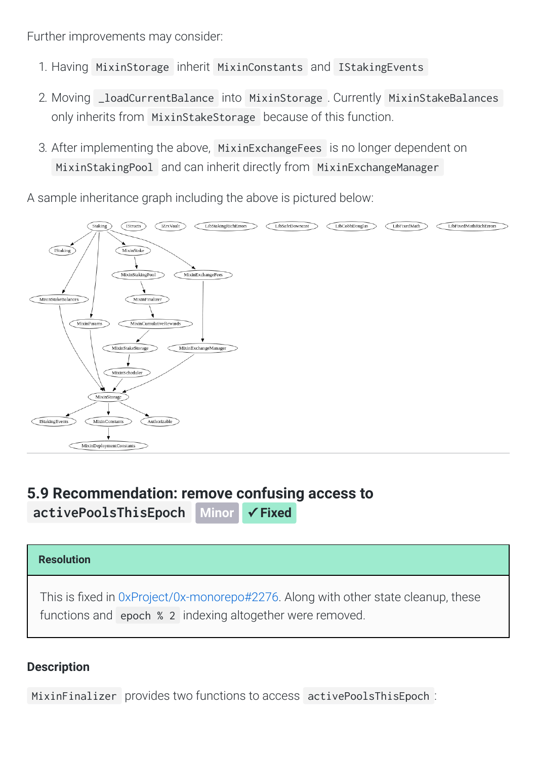Further
improvements
may
consider:

- 1.
Having MixinStorage inherit MixinConstants and IStakingEvents
- 2. Moving \_loadCurrentBalance into MixinStorage Currently MixinStakeBalances only
inherits
from MixinStakeStorage because
of
this
function.
- 3.
After
implementing
the
above, MixinExchangeFees is
no
longer
dependent
on MixinStakingPool and can inherit directly from MixinExchangeManager

A
sample
inheritance
graph
including
the
above
is
pictured
below:



## <span id="page-18-0"></span>**[5.9
Recommendation:
remove
confusing
access
to](#page-18-0) activePoolsThisEpoch Minor ✓ Fixed**

### **Resolution**

This is fixed in 0xProject/0x-monorepo#2276. Along with other state cleanup, these functions
and epoch
%
2 indexing
altogether
were
removed.

### **Description**

MixinFinalizer provides
two
functions
to
access activePoolsThisEpoch :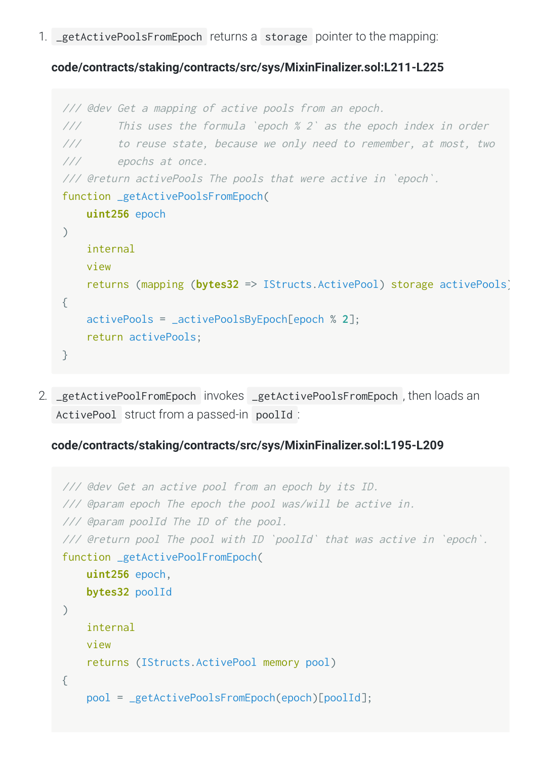1. \_getActivePoolsFromEpoch returns a storage pointer to the mapping:

```
code/contracts/staking/contracts/src/sys/MixinFinalizer.sol:L211-L225
```

```
/// @dev Get a mapping of active pools from an epoch.
/// This uses the formula `epoch % 2` as the epoch index in order
/// to reuse state, because we only need to remember, at most, two
///

epochs
at
once.
/// @return activePools The pools that were active in `epoch`.
function _getActivePoolsFromEpoch(

uint256 epoch
\left( \right)

internal

view

returns (mapping (bytes32 => IStructs.ActivePool) storage activePools)
{

activePools = _activePoolsByEpoch[epoch % 2];

return activePools;
}
```
2. \_getActivePoolFromEpoch invokes \_getActivePoolsFromEpoch, then loads an ActivePool struct
from
a
passed-in poolId :

#### **code/contracts/staking/contracts/src/sys/MixinFinalizer.sol:L195-L209**

```
///
@dev
Get
an
active
pool
from
an
epoch
by
its
ID.
///
@param
epoch
The
epoch
the
pool
was/will
be
active
in.
///
@param
poolId
The
ID
of
the
pool.
/// @return pool The pool with ID `poolId` that was active in `epoch`.
function _getActivePoolFromEpoch(

uint256 epoch,

bytes32 poolId
\left( \right)

internal

view

returns (IStructs.ActivePool memory pool)
{

pool = _getActivePoolsFromEpoch(epoch)[poolId];
```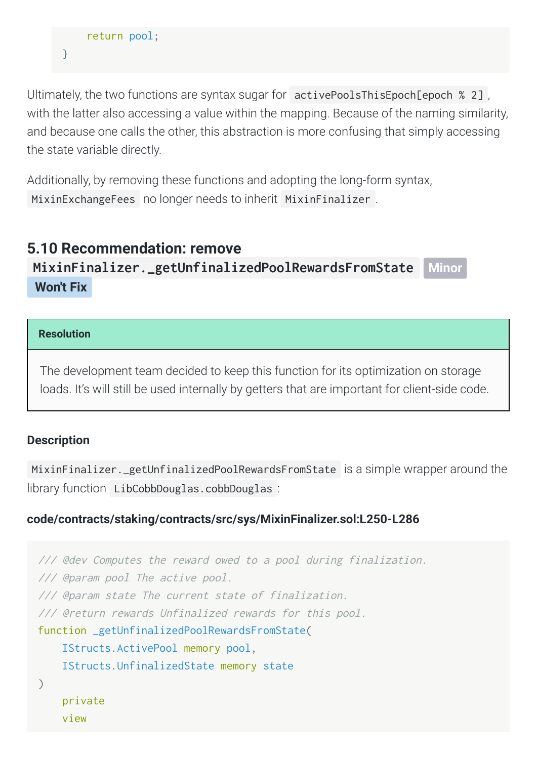```

return pool;
```
}

Ultimately, the two functions are syntax sugar for activePoolsThisEpoch[epoch % 2], with the latter also accessing a value within the mapping. Because of the naming similarity, and because one calls the other, this abstraction is more confusing that simply accessing the
state
variable
directly.

Additionally, by removing these functions and adopting the long-form syntax, MixinExchangeFees no longer needs to inherit MixinFinalizer.

## <span id="page-20-0"></span>**5.10
Recommendation:
remove [MixinFinalizer.\\_getUnfinalizedPoolRewardsFromState](#page-20-0) Minor Won't Fix**

### **Resolution**

The
development
team
decided
to
keep
this
function
for
its
optimization
on
storage loads. It's will still be used internally by getters that are important for client-side code.

### **Description**

MixinFinalizer.\_getUnfinalizedPoolRewardsFromState is a simple wrapper around the library function LibCobbDouglas.cobbDouglas :

### **code/contracts/staking/contracts/src/sys/MixinFinalizer.sol:L250-L286**

```
///
@dev
Computes
the
reward
owed
to
a
pool
during
finalization.
///
@param
pool
The
active
pool.
///
@param
state
The
current
state
of
finalization.
///
@return
rewards
Unfinalized
rewards
for
this
pool.
function _getUnfinalizedPoolRewardsFromState(

IStructs.ActivePool memory pool,

IStructs.UnfinalizedState memory state
)

private

view
```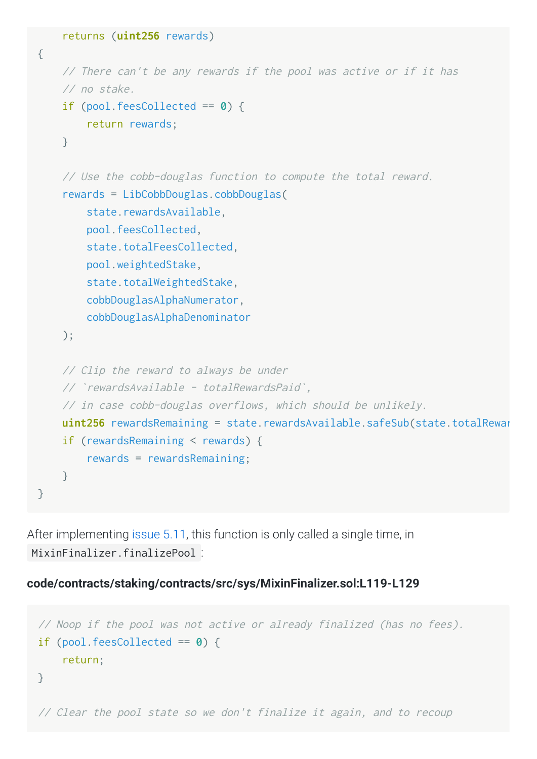```

returns (uint256 rewards)
{
    // There can't be any rewards if the pool was active or if it has

//
no
stake.

if (pool.feesCollected == 0) {

return rewards;

}

//
Use
the
cobb-douglas
function
to
compute
the
total
reward.

rewards = LibCobbDouglas.cobbDouglas(
         state.rewardsAvailable,

pool.feesCollected,
         state.totalFeesCollected,

pool.weightedStake,
         state.totalWeightedStake,

cobbDouglasAlphaNumerator,

cobbDouglasAlphaDenominator

);

//
Clip
the
reward
to
always
be
under

//
`rewardsAvailable
-
totalRewardsPaid`,

//
in
case
cobb-douglas
overflows,
which
should
be
unlikely.
    uint256 rewardsRemaining = state.rewardsAvailable.safeSub(state.totalReward
    if (rewardsRemaining \leq rewards) {

rewards = rewardsRemaining;

}
}
```
After implementing issue 5.11, this function is only called a single time, in MixinFinalizer.finalizePool :

### **code/contracts/staking/contracts/src/sys/MixinFinalizer.sol:L119-L129**

```
//
Noop
if
the
pool
was
not
active
or
already
finalized
(has
no
fees).
if (pool.feesCollected == 0) {

return;
}
// Clear the pool state so we don't finalize it again, and to recoup
```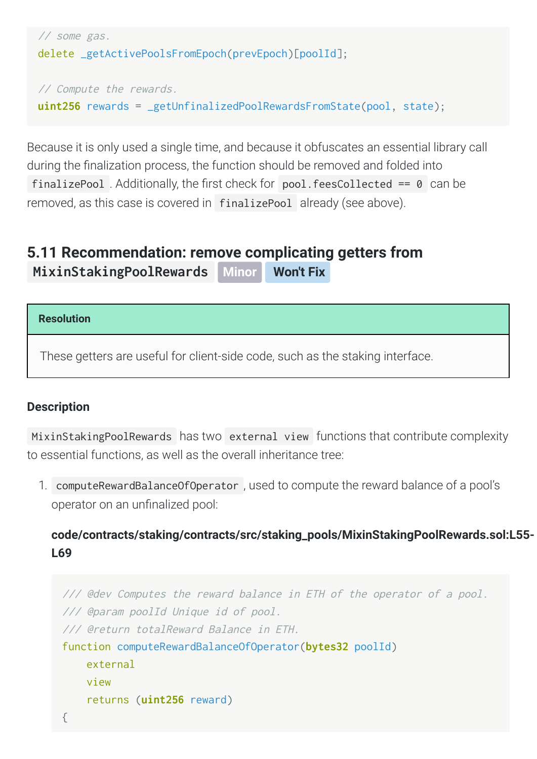```
//
some
gas.
delete _getActivePoolsFromEpoch(prevEpoch)[poolId];
//
Compute
the
rewards.
```

```
uint256 rewards = _getUnfinalizedPoolRewardsFromState(pool, state);
```
Because it is only used a single time, and because it obfuscates an essential library call during the finalization process, the function should be removed and folded into finalizePool . Additionally, the first check for pool. feesCollected ==  $\theta$  can be removed,
as
this
case
is
covered
in finalizePool already
(see
above).

### <span id="page-22-0"></span>**[5.11
Recommendation:
remove
complicating
getters
from](#page-22-0) MixinStakingPoolRewards Minor Won't Fix**

### **Resolution**

These getters are useful for client-side code, such as the staking interface.

### **Description**

MixinStakingPoolRewards has two external view functions that contribute complexity to essential functions, as well as the overall inheritance tree:

1. computeRewardBalanceOfOperator, used to compute the reward balance of a pool's operator on an unfinalized pool:

### **code/contracts/staking/contracts/src/staking\_pools/MixinStakingPoolRewards.sol:L55- L69**

```
/// @dev Computes the reward balance in ETH of the operator of a pool.
///
@param
poolId
Unique
id
of
pool.
///
@return
totalReward
Balance
in
ETH.
function computeRewardBalanceOfOperator(bytes32 poolId)

external

view

returns (uint256 reward)
{
```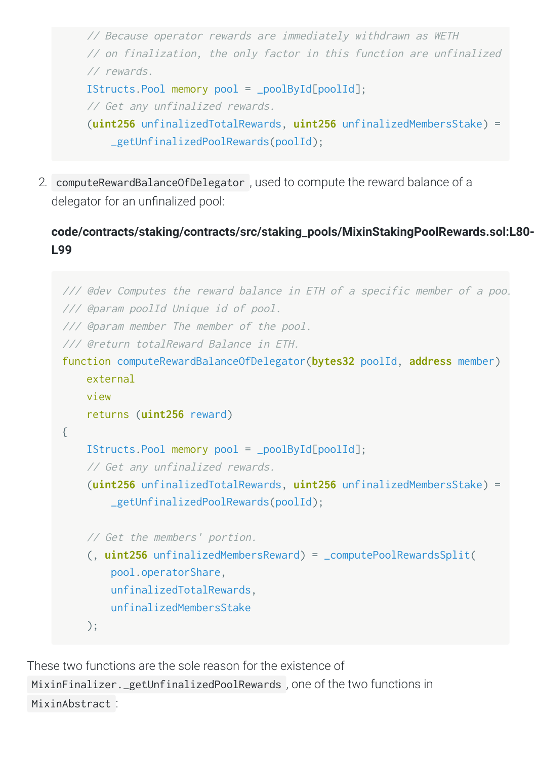```

//
Because
operator
rewards
are
immediately
withdrawn
as
WETH
// on finalization, the only factor in this function are unfinalized

//
rewards.

IStructs.Pool memory pool = _poolById[poolId];

//
Get
any
unfinalized
rewards.

(uint256 unfinalizedTotalRewards, uint256 unfinalizedMembersStake) =

_getUnfinalizedPoolRewards(poolId);
```
2. computeRewardBalanceOfDelegator, used to compute the reward balance of a delegator for an unfinalized pool:

### **code/contracts/staking/contracts/src/staking\_pools/MixinStakingPoolRewards.sol:L80- L99**

```
/// @dev Computes the reward balance in ETH of a specific member of a poo.
///
@param
poolId
Unique
id
of
pool.
/// Gparam member The member of the pool.
///
@return
totalReward
Balance
in
ETH.
function computeRewardBalanceOfDelegator(bytes32 poolId, address member)

external

view

returns (uint256 reward)
{

IStructs.Pool memory pool = _poolById[poolId];

//
Get
any
unfinalized
rewards.

(uint256 unfinalizedTotalRewards, uint256 unfinalizedMembersStake) =

_getUnfinalizedPoolRewards(poolId);

//
Get
the
members'
portion.

(, uint256 unfinalizedMembersReward) = _computePoolRewardsSplit(

pool.operatorShare,

unfinalizedTotalRewards,

unfinalizedMembersStake
    );
```
These two functions are the sole reason for the existence of MixinFinalizer.\_getUnfinalizedPoolRewards, one of the two functions in MixinAbstract :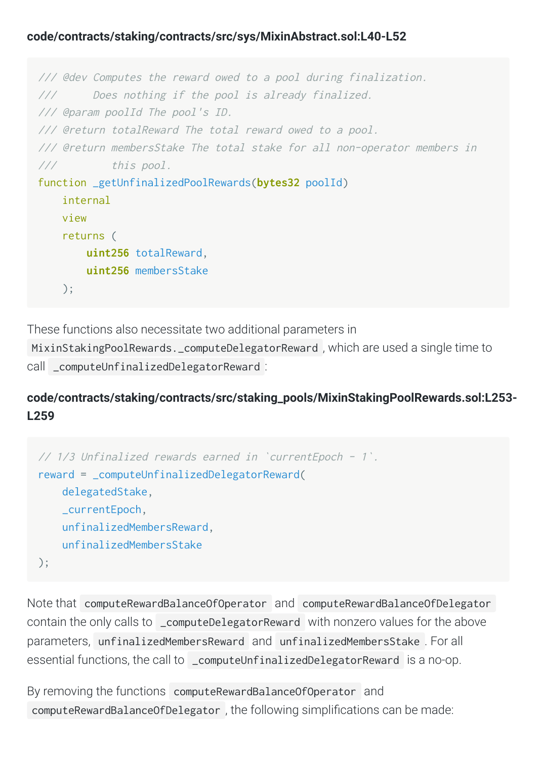### **code/contracts/staking/contracts/src/sys/MixinAbstract.sol:L40-L52**

```
///
@dev
Computes
the
reward
owed
to
a
pool
during
finalization.
///

Does
nothing
if
the
pool
is
already
finalized.
///
@param
poolId
The
pool's
ID.
/// @return totalReward The total reward owed to a pool.
///
@return
membersStake
The
total
stake
for
all
non-operator
members
in
/// this pool.
function _getUnfinalizedPoolRewards(bytes32 poolId)

internal

view

returns (

uint256 totalReward,

uint256 membersStake

);
```
These
functions
also
necessitate
two
additional
parameters
in

MixinStakingPoolRewards.\_computeDelegatorReward, which are used a single time to call \_computeUnfinalizedDelegatorReward :

### **code/contracts/staking/contracts/src/staking\_pools/MixinStakingPoolRewards.sol:L253- L259**

```
//
1/3
Unfinalized
rewards
earned
in
`currentEpoch
-
1`.
reward = _computeUnfinalizedDelegatorReward(

delegatedStake,

_currentEpoch,

unfinalizedMembersReward,

unfinalizedMembersStake
);
```
Note that computeRewardBalanceOfOperator and computeRewardBalanceOfDelegator contain
the
only
calls
to \_computeDelegatorReward with
nonzero
values
for
the
above parameters, unfinalizedMembersReward and unfinalizedMembersStake .
For
all essential functions, the call to \_computeUnfinalizedDelegatorReward is a no-op.

By removing the functions computeRewardBalanceOfOperator and computeRewardBalanceOfDelegator ,
the
following
simplications
can
be
made: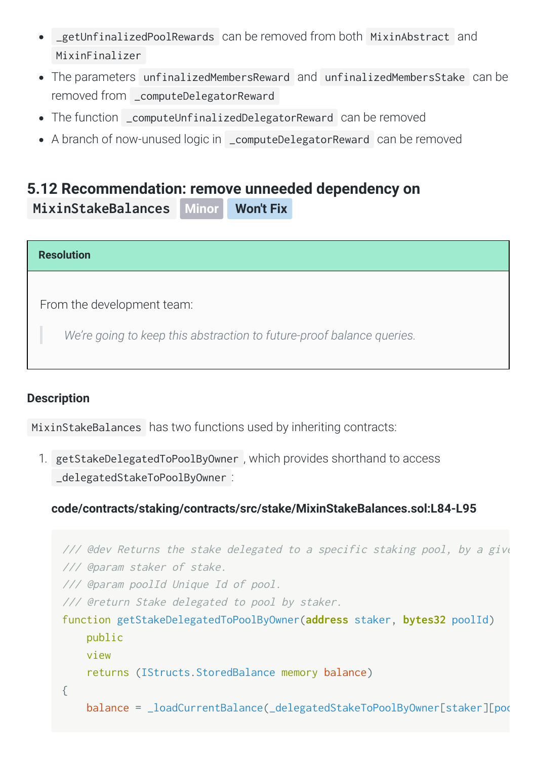- \_getUnfinalizedPoolRewards can
be
removed
from
both MixinAbstract and MixinFinalizer
- The parameters unfinalizedMembersReward and unfinalizedMembersStake can be removed
from \_computeDelegatorReward
- The function \_computeUnfinalizedDelegatorReward can be removed
- A branch of now-unused logic in \_computeDelegatorReward can be removed

# <span id="page-25-0"></span>**[5.12
Recommendation:
remove
unneeded
dependency
on](#page-25-0)**

**MixinStakeBalances Minor Won't Fix**

#### **Resolution**

From
the
development
team:

We're going to keep this abstraction to future-proof balance queries.

### **Description**

MixinStakeBalances has two functions used by inheriting contracts:

1. getStakeDelegatedToPoolByOwner ,
which
provides
shorthand
to
access \_delegatedStakeToPoolByOwner :

### **code/contracts/staking/contracts/src/stake/MixinStakeBalances.sol:L84-L95**

```
/// @dev Returns the stake delegated to a specific staking pool, by a give
///
@param
staker
of
stake.
///
@param
poolId
Unique
Id
of
pool.
///
@return
Stake
delegated
to
pool
by
staker.
function getStakeDelegatedToPoolByOwner(address staker, bytes32 poolId)

public

view

returns (IStructs.StoredBalance memory balance)
{
    balance = _loadCurrentBalance(_delegatedStakeToPoolByOwner[staker][pool
```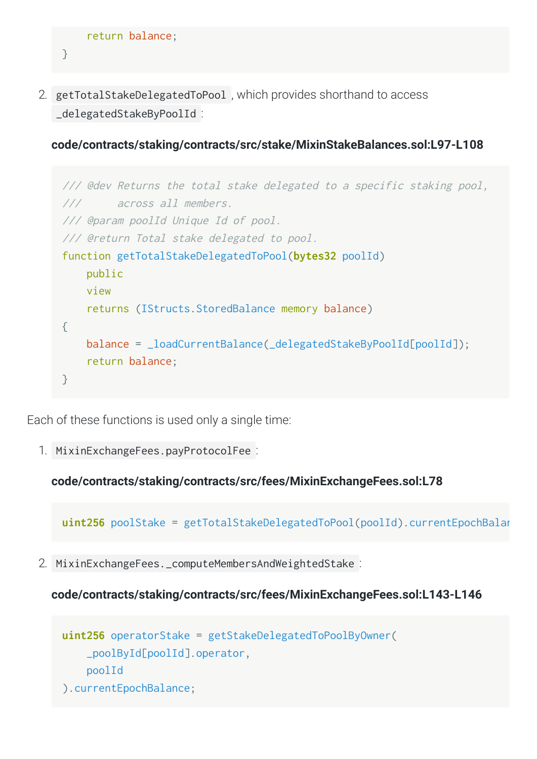```

return balance;
```
}

2. getTotalStakeDelegatedToPool ,
which
provides
shorthand
to
access \_delegatedStakeByPoolId :

**code/contracts/staking/contracts/src/stake/MixinStakeBalances.sol:L97-L108**

```
/// @dev Returns the total stake delegated to a specific staking pool,
///

across
all
members.
///
@param
poolId
Unique
Id
of
pool.
///
@return
Total
stake
delegated
to
pool.
function getTotalStakeDelegatedToPool(bytes32 poolId)

public

view

returns (IStructs.StoredBalance memory balance)
{

balance = _loadCurrentBalance(_delegatedStakeByPoolId[poolId]);

return balance;
}
```
Each
of
these
functions
is
used
only
a
single
time:

1. MixinExchangeFees.payProtocolFee :

**code/contracts/staking/contracts/src/fees/MixinExchangeFees.sol:L78**

**uint256** poolStake = getTotalStakeDelegatedToPool(poolId).currentEpochBalan

2. MixinExchangeFees.\_computeMembersAndWeightedStake :

**code/contracts/staking/contracts/src/fees/MixinExchangeFees.sol:L143-L146**

```
uint256 operatorStake = getStakeDelegatedToPoolByOwner(

_poolById[poolId].operator,

poolId
).currentEpochBalance;
```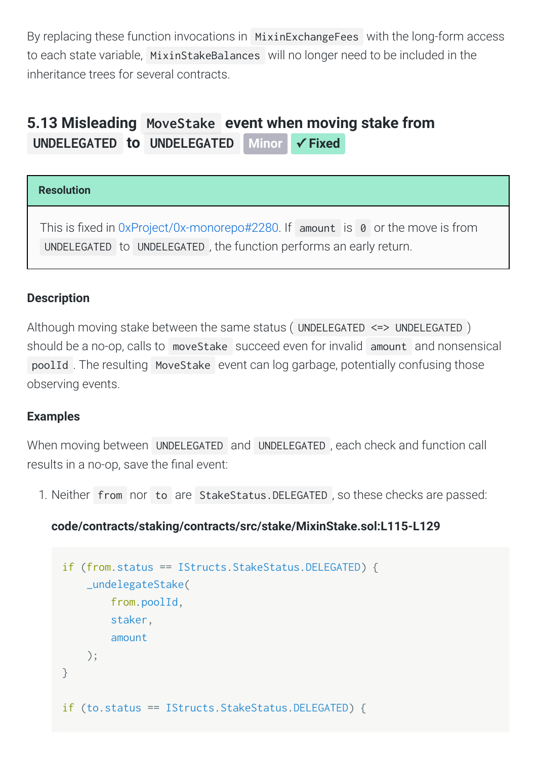By replacing these function invocations in MixinExchangeFees with the long-form access to each state variable. MixinStakeBalances will no longer need to be included in the inheritance
trees
for
several
contracts.

## <span id="page-27-0"></span>**5.13 Misleading MoveStake event when moving stake from UNDELEGATED to UNDELEGATED Minor ✓ Fixed**

### **Resolution**

This is fixed in 0xProject/0x-monorepo#2280. If amount is 0 or the move is from UNDELEGATED to UNDELEGATED, the function performs an early return.

### **Description**

Although moving stake between the same status ( UNDELEGATED <= > UNDELEGATED ) should be a no-op, calls to moveStake succeed even for invalid amount and nonsensical poolId .
The
resulting MoveStake event
can
log
garbage,
potentially
confusing
those observing
events.

### **Examples**

When moving between UNDELEGATED and UNDELEGATED, each check and function call results in a no-op, save the final event:

1.
Neither from nor to are StakeStatus.DELEGATED ,
so
these
checks
are
passed:

### **code/contracts/staking/contracts/src/stake/MixinStake.sol:L115-L129**

```
if (from.status == IStructs.StakeStatus.DELEGATED) {

_undelegateStake(

from.poolId,

staker,

amount

);
}
if (to.status == IStructs.StakeStatus.DELEGATED) {
```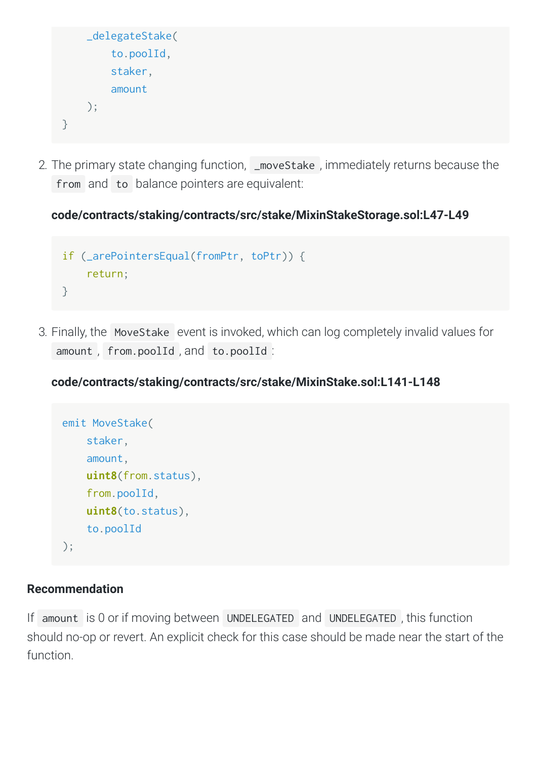```

_delegateStake(

to.poolId,

staker,

amount

);
}
```
2. The primary state changing function, \_moveStake, immediately returns because the from and to balance pointers are equivalent:

**code/contracts/staking/contracts/src/stake/MixinStakeStorage.sol:L47-L49**

```
if (_arePointersEqual(fromPtr, toPtr)) {

return;
}
```
3.
Finally,
the MoveStake event
is
invoked,
which
can
log
completely
invalid
values
for amount , from.poolId ,
and to.poolId :

### **code/contracts/staking/contracts/src/stake/MixinStake.sol:L141-L148**

```
emit MoveStake(

staker,

amount,

uint8(from.status),

from.poolId,

uint8(to.status),

to.poolId
);
```
### **Recommendation**

If amount is 0 or if moving between UNDELEGATED and UNDELEGATED, this function should no-op or revert. An explicit check for this case should be made near the start of the function.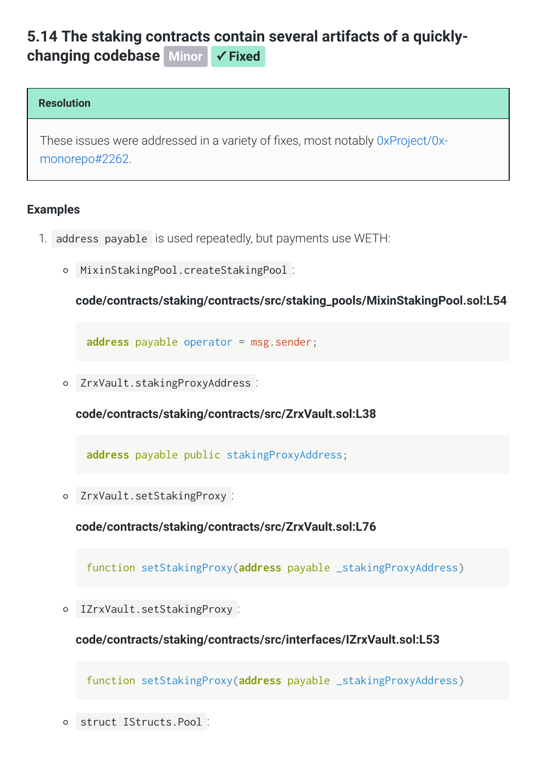# <span id="page-29-0"></span>**[5.14
The
staking
contracts
contain
several
artifacts
of
a
quickly](#page-29-0)changing
codebase Minor ✓ Fixed**

#### **Resolution**

These issues were addressed in a variety of fixes, most notably 0xProject/0xmonorepo#2262.

#### **Examples**

- 1. address payable is used repeatedly, but payments use WETH:
	- MixinStakingPool.createStakingPool :  $\circ$

**code/contracts/staking/contracts/src/staking\_pools/MixinStakingPool.sol:L54**

**address** payable operator = msg.sender;

ZrxVault.stakingProxyAddress :

**code/contracts/staking/contracts/src/ZrxVault.sol:L38**

**address** payable public stakingProxyAddress;

ZrxVault.setStakingProxy :

**code/contracts/staking/contracts/src/ZrxVault.sol:L76**

function setStakingProxy(**address** payable \_stakingProxyAddress)

IZrxVault.setStakingProxy :  $\circ$ 

**code/contracts/staking/contracts/src/interfaces/IZrxVault.sol:L53**

function setStakingProxy(**address** payable \_stakingProxyAddress)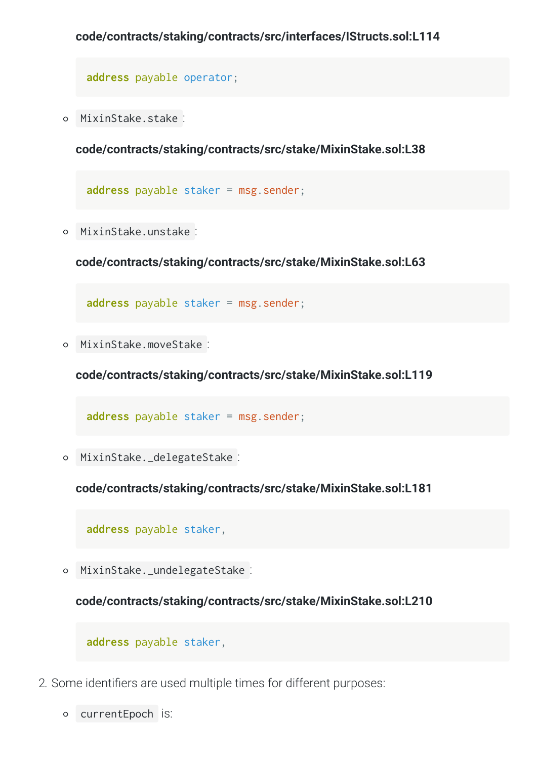**address** payable operator;

o MixinStake.stake :

**code/contracts/staking/contracts/src/stake/MixinStake.sol:L38**

**address** payable staker = msg.sender;

MixinStake.unstake :

**code/contracts/staking/contracts/src/stake/MixinStake.sol:L63**

**address** payable staker = msg.sender;

MixinStake.moveStake :

**code/contracts/staking/contracts/src/stake/MixinStake.sol:L119**

**address** payable staker = msg.sender;

MixinStake.\_delegateStake :

**code/contracts/staking/contracts/src/stake/MixinStake.sol:L181**

**address** payable staker,

MixinStake.\_undelegateStake :

**code/contracts/staking/contracts/src/stake/MixinStake.sol:L210**

**address** payable staker,

- 2. Some identifiers are used multiple times for different purposes:
	- currentEpoch is: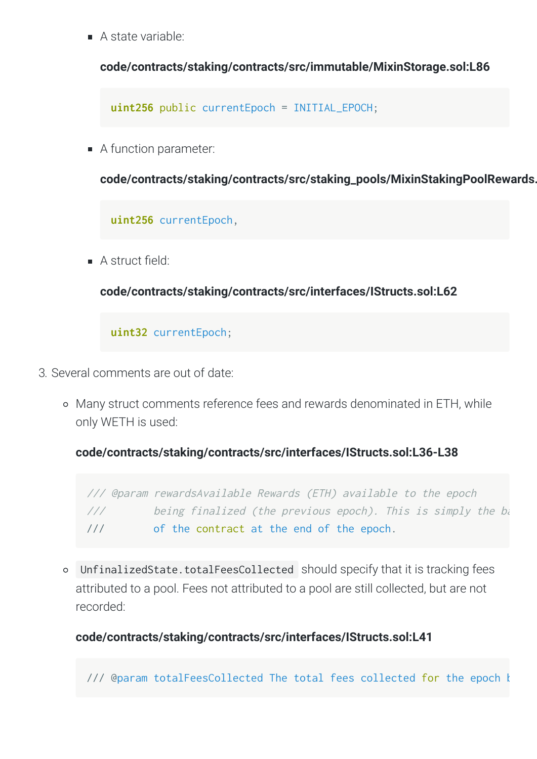A
state
variable:

**code/contracts/staking/contracts/src/immutable/MixinStorage.sol:L86**

**uint256** public currentEpoch = INITIAL\_EPOCH;

■ A function parameter:

**code/contracts/staking/contracts/src/staking\_pools/MixinStakingPoolRewards.**

**uint256** currentEpoch,

**A** struct field:

**code/contracts/staking/contracts/src/interfaces/IStructs.sol:L62**

**uint32** currentEpoch;

- 3.
Several
comments
are
out
of
date:
	- Many
	struct
	comments
	reference
	fees
	and
	rewards
	denominated
	in
	ETH,
	while only
	WETH
	is
	used:

**code/contracts/staking/contracts/src/interfaces/IStructs.sol:L36-L38**

///
@param
rewardsAvailable
Rewards
(ETH)
available
to
the
epoch /// being finalized (the previous epoch). This is simply the ba ///

of the contract at the end of the epoch.

o UnfinalizedState.totalFeesCollected should specify that it is tracking fees attributed
to
a
pool.
Fees
not
attributed
to
a
pool
are
still
collected,
but
are
not recorded:

### **code/contracts/staking/contracts/src/interfaces/IStructs.sol:L41**

/// @param totalFeesCollected The total fees collected for the epoch b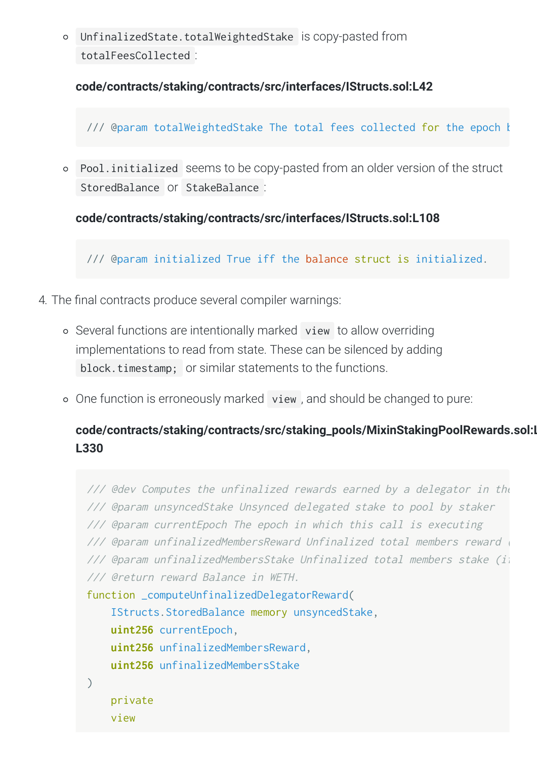UnfinalizedState.totalWeightedStake is
copy-pasted
from totalFeesCollected :

### **code/contracts/staking/contracts/src/interfaces/IStructs.sol:L42**

/// @param totalWeightedStake The total fees collected for the epoch k

o Pool. initialized seems to be copy-pasted from an older version of the struct StoredBalance Or StakeBalance:

**code/contracts/staking/contracts/src/interfaces/IStructs.sol:L108**

/// @param initialized True iff the balance struct is initialized.

- 4. The final contracts produce several compiler warnings:
	- Several
	functions
	are
	intentionally
	marked view to
	allow
	overriding implementations
	to
	read
	from
	state.
	These
	can
	be
	silenced
	by
	adding block.timestamp; or similar statements to the functions.
	- o One function is erroneously marked view, and should be changed to pure:

### **code/contracts/staking/contracts/src/staking\_pools/MixinStakingPoolRewards.sol:L L330**

```
/// @dev Computes the unfinalized rewards earned by a delegator in the
///
@param
unsyncedStake
Unsynced
delegated
stake
to
pool
by
staker
///
@param
currentEpoch
The
epoch
in
which
this
call
is
executing
/// @param unfinalizedMembersReward Unfinalized total members reward
/// @param unfinalizedMembersStake Unfinalized total members stake (ii
///
@return
reward
Balance
in
WETH.
function _computeUnfinalizedDelegatorReward(

IStructs.StoredBalance memory unsyncedStake,

uint256 currentEpoch,

uint256 unfinalizedMembersReward,

uint256 unfinalizedMembersStake
\sum

private

view
```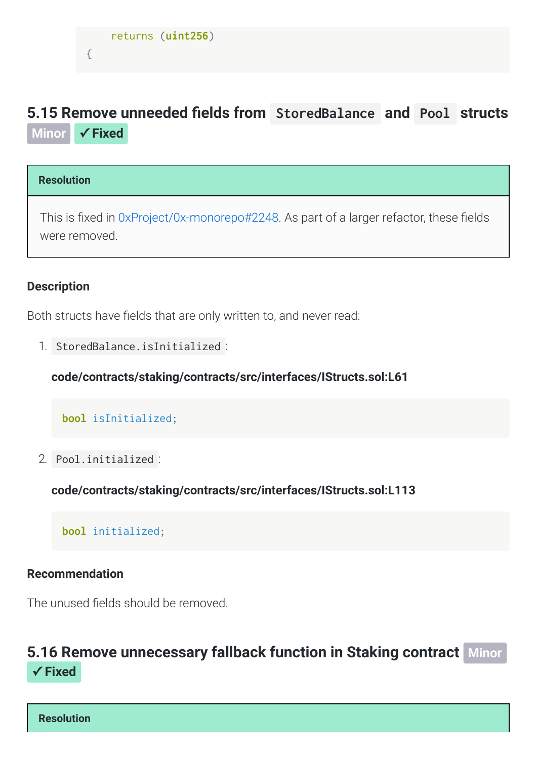```

returns (uint256)
{
```
## <span id="page-33-0"></span>**5.15 Remove unneeded fields from StoredBalance and Pool structs Minor ✓ Fixed**

### **Resolution**

This is fixed in 0xProject/0x-monorepo#2248. As part of a larger refactor, these fields were
removed.

#### **Description**

Both structs have fields that are only written to, and never read:

1. StoredBalance.isInitialized :

**code/contracts/staking/contracts/src/interfaces/IStructs.sol:L61**

**bool** isInitialized;

2. Pool.initialized :

**code/contracts/staking/contracts/src/interfaces/IStructs.sol:L113**

**bool** initialized;

#### **Recommendation**

The unused fields should be removed.

## <span id="page-33-1"></span>**[5.16
Remove
unnecessary
fallback
function
in
Staking
contract](#page-33-1)  Minor ✓ Fixed**

**Resolution**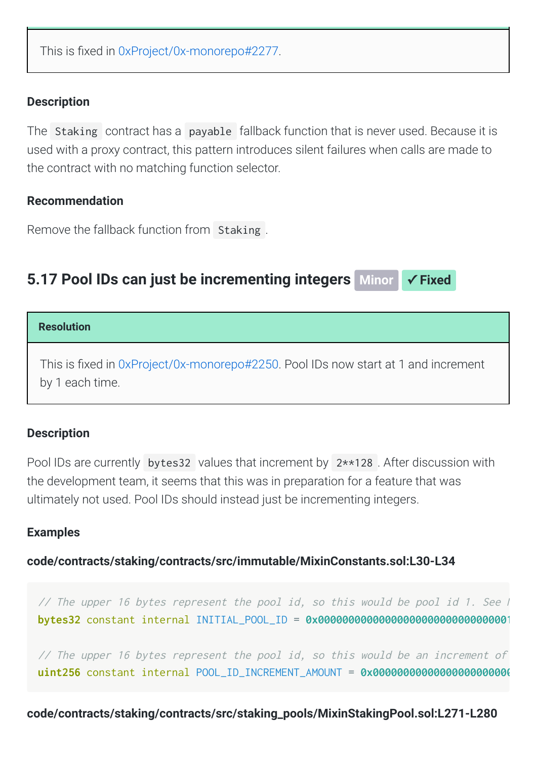This is fixed in 0xProject/0x-monorepo#2277.

### **Description**

The Staking contract has a payable fallback function that is never used. Because it is used with a proxy contract, this pattern introduces silent failures when calls are made to the
contract
with
no
matching
function
selector.

### **Recommendation**

Remove the fallback function from Staking.

## <span id="page-34-0"></span>**5.17 Pool IDs can just be incrementing integers Minor ↓ Fixed**

#### **Resolution**

This is fixed in 0xProject/0x-monorepo#2250. Pool IDs now start at 1 and increment by
1
each
time.

### **Description**

Pool IDs are currently bytes32 values that increment by 2<sup>\*\*</sup>128. After discussion with the development team, it seems that this was in preparation for a feature that was ultimately not used. Pool IDs should instead just be incrementing integers.

### **Examples**

**code/contracts/staking/contracts/src/immutable/MixinConstants.sol:L30-L34**

// The upper 16 bytes represent the pool id, so this would be pool id 1. See I **bytes32** constant internal INITIAL\_POOL\_ID = **0x00000000000000000000000000000001**

// The upper 16 bytes represent the pool id, so this would be an increment of **uint256** constant internal POOL\_ID\_INCREMENT\_AMOUNT = **0x00000000000000000000000**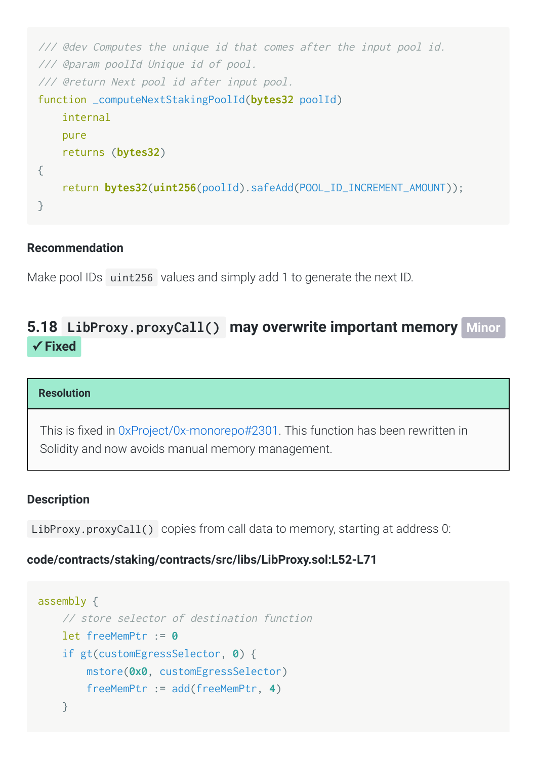```
/// @dev Computes the unique id that comes after the input pool id.
///
@param
poolId
Unique
id
of
pool.
///
@return
Next
pool
id
after
input
pool.
function _computeNextStakingPoolId(bytes32 poolId)

internal

pure

returns (bytes32)
{

return bytes32(uint256(poolId).safeAdd(POOL_ID_INCREMENT_AMOUNT));
}
```
### **Recommendation**

Make pool IDs uint256 values and simply add 1 to generate the next ID.

## <span id="page-35-0"></span>**5.18 LibProxy.proxyCall() [may
overwrite
important
memory](#page-35-0)  Minor ✓ Fixed**

#### **Resolution**

This is fixed in 0xProject/0x-monorepo#2301. This function has been rewritten in Solidity
and
now
avoids
manual
memory
management.

### **Description**

LibProxy.proxyCall() copies from call data to memory, starting at address 0:

#### **code/contracts/staking/contracts/src/libs/LibProxy.sol:L52-L71**

```
assembly {

//
store
selector
of
destination
function

let freeMemPtr := 0

if gt(customEgressSelector, 0) {

mstore(0x0, customEgressSelector)

freeMemPtr := add(freeMemPtr, 4)

}
```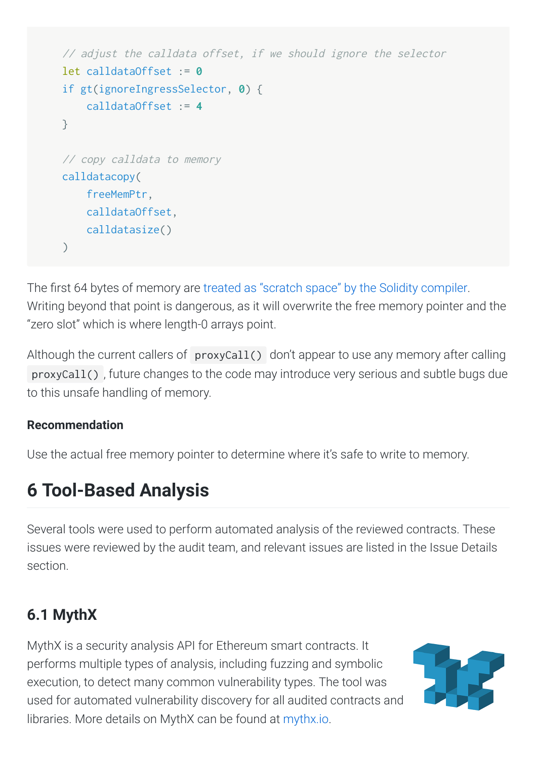```

//
adjust
the
calldata
offset,
if
we
should
ignore
the
selector

let calldataOffset := 0

if gt(ignoreIngressSelector, 0) {

calldataOffset := 4

}

//
copy
calldata
to
memory

calldatacopy(

freeMemPtr,

calldataOffset,

calldatasize()
\lambda
```
The first 64 bytes of memory are treated as "scratch space" by the Solidity compiler. Writing beyond that point is dangerous, as it will overwrite the free memory pointer and the "zero
slot"
which
is
where
length-0
arrays
point.

Although the current callers of proxyCall() don't appear to use any memory after calling proxyCall(), future changes to the code may introduce very serious and subtle bugs due to this unsafe handling of memory.

### **Recommendation**

Use the actual free memory pointer to determine where it's safe to write to memory.

# <span id="page-36-0"></span>**6
Tool-Based
Analysis**

Several tools were used to perform automated analysis of the reviewed contracts. These issues were reviewed by the audit team, and relevant issues are listed in the Issue Details section.

# <span id="page-36-1"></span>**6.1
MythX**

MythX
is
a
security
analysis
API
for
Ethereum
smart
contracts.
It performs
multiple
types
of
analysis,
including
fuzzing
and
symbolic execution,
to
detect
many
common
vulnerability
types.
The
tool
was used
for
automated
vulnerability
discovery
for
all
audited
contracts
and libraries. More details on MythX can be found at [mythx.io.](https://mythx.io/)

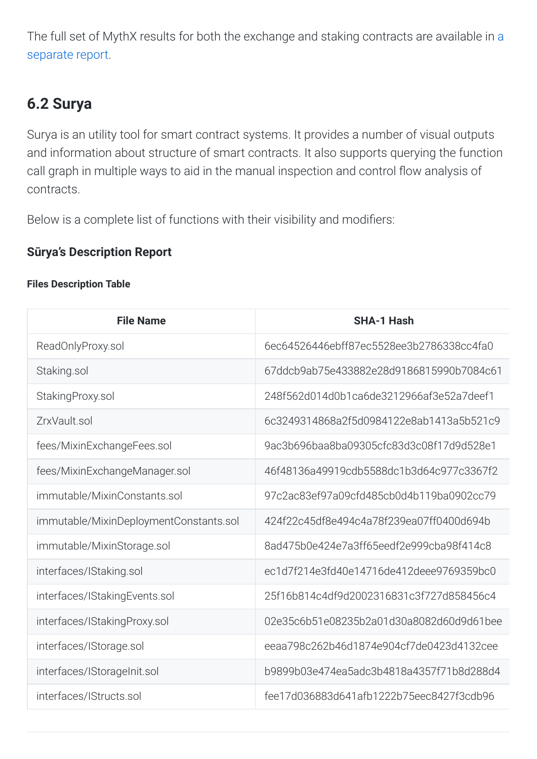The full set of MythX results for both the exchange and staking contracts are available in a separate report.

# <span id="page-37-0"></span>**6.2
Surya**

Surya is an utility tool for smart contract systems. It provides a number of visual outputs and
information
about
structure
of
smart
contracts.
It
also
supports
querying
the
function call graph in multiple ways to aid in the manual inspection and control flow analysis of contracts.

Below is a complete list of functions with their visibility and modifiers:

### **Sūrya's
Description
Report**

#### **Files Description Table**

| <b>File Name</b>                       | <b>SHA-1 Hash</b>                        |
|----------------------------------------|------------------------------------------|
| ReadOnlyProxy.sol                      | 6ec64526446ebff87ec5528ee3b2786338cc4fa0 |
| Staking.sol                            | 67ddcb9ab75e433882e28d9186815990b7084c61 |
| StakingProxy.sol                       | 248f562d014d0b1ca6de3212966af3e52a7deef1 |
| ZrxVault.sol                           | 6c3249314868a2f5d0984122e8ab1413a5b521c9 |
| fees/MixinExchangeFees.sol             | 9ac3b696baa8ba09305cfc83d3c08f17d9d528e1 |
| fees/MixinExchangeManager.sol          | 46f48136a49919cdb5588dc1b3d64c977c3367f2 |
| immutable/MixinConstants.sol           | 97c2ac83ef97a09cfd485cb0d4b119ba0902cc79 |
| immutable/MixinDeploymentConstants.sol | 424f22c45df8e494c4a78f239ea07ff0400d694b |
| immutable/MixinStorage.sol             | 8ad475b0e424e7a3ff65eedf2e999cba98f414c8 |
| interfaces/IStaking.sol                | ec1d7f214e3fd40e14716de412deee9769359bc0 |
| interfaces/IStakingEvents.sol          | 25f16b814c4df9d2002316831c3f727d858456c4 |
| interfaces/IStakingProxy.sol           | 02e35c6b51e08235b2a01d30a8082d60d9d61bee |
| interfaces/IStorage.sol                | eeaa798c262b46d1874e904cf7de0423d4132cee |
| interfaces/IStorageInit.sol            | b9899b03e474ea5adc3b4818a4357f71b8d288d4 |
| interfaces/IStructs.sol                | fee17d036883d641afb1222b75eec8427f3cdb96 |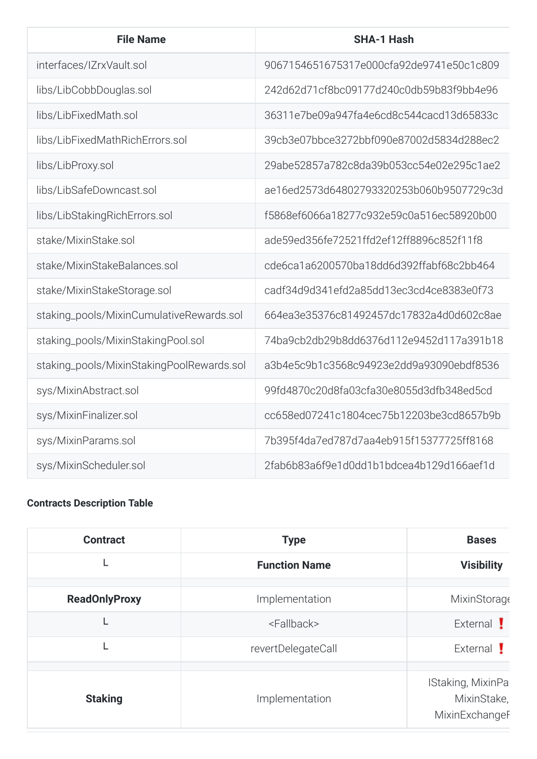| <b>File Name</b>                          | <b>SHA-1 Hash</b>                        |
|-------------------------------------------|------------------------------------------|
| interfaces/IZrxVault.sol                  | 9067154651675317e000cfa92de9741e50c1c809 |
| libs/LibCobbDouglas.sol                   | 242d62d71cf8bc09177d240c0db59b83f9bb4e96 |
| libs/LibFixedMath.sol                     | 36311e7be09a947fa4e6cd8c544cacd13d65833c |
| libs/LibFixedMathRichErrors.sol           | 39cb3e07bbce3272bbf090e87002d5834d288ec2 |
| libs/LibProxy.sol                         | 29abe52857a782c8da39b053cc54e02e295c1ae2 |
| libs/LibSafeDowncast.sol                  | ae16ed2573d64802793320253b060b9507729c3d |
| libs/LibStakingRichErrors.sol             | f5868ef6066a18277c932e59c0a516ec58920b00 |
| stake/MixinStake.sol                      | ade59ed356fe72521ffd2ef12ff8896c852f11f8 |
| stake/MixinStakeBalances.sol              | cde6ca1a6200570ba18dd6d392ffabf68c2bb464 |
| stake/MixinStakeStorage.sol               | cadf34d9d341efd2a85dd13ec3cd4ce8383e0f73 |
| staking_pools/MixinCumulativeRewards.sol  | 664ea3e35376c81492457dc17832a4d0d602c8ae |
| staking_pools/MixinStakingPool.sol        | 74ba9cb2db29b8dd6376d112e9452d117a391b18 |
| staking_pools/MixinStakingPoolRewards.sol | a3b4e5c9b1c3568c94923e2dd9a93090ebdf8536 |
| sys/MixinAbstract.sol                     | 99fd4870c20d8fa03cfa30e8055d3dfb348ed5cd |
| sys/MixinFinalizer.sol                    | cc658ed07241c1804cec75b12203be3cd8657b9b |
| sys/MixinParams.sol                       | 7b395f4da7ed787d7aa4eb915f15377725ff8168 |
| sys/MixinScheduler.sol                    | 2fab6b83a6f9e1d0dd1b1bdcea4b129d166aef1d |

### **Contracts Description Table**

| <b>Contract</b>      | <b>Type</b>           | <b>Bases</b>                                       |
|----------------------|-----------------------|----------------------------------------------------|
|                      | <b>Function Name</b>  | <b>Visibility</b>                                  |
| <b>ReadOnlyProxy</b> | Implementation        | MixinStorage                                       |
|                      | <fallback></fallback> | External !                                         |
|                      | revertDelegateCall    | External !                                         |
| <b>Staking</b>       | Implementation        | IStaking, MixinPa<br>MixinStake,<br>MixinExchangeF |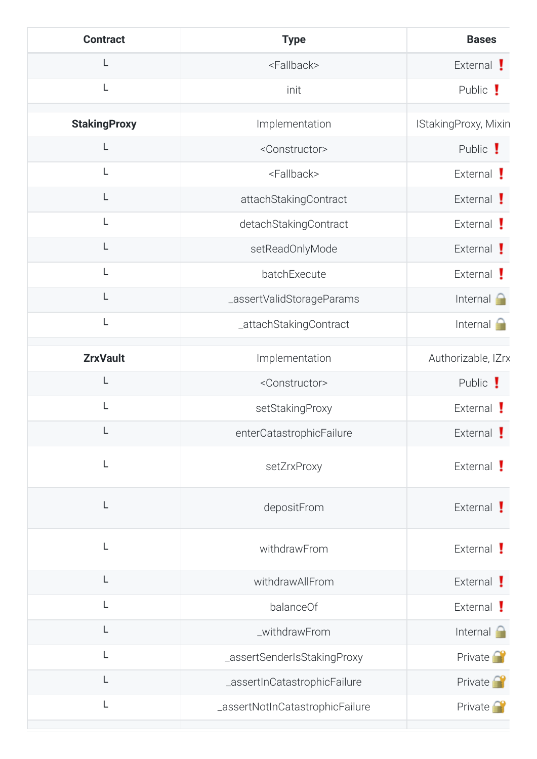| <b>Contract</b>     | <b>Type</b>                     | <b>Bases</b>         |
|---------------------|---------------------------------|----------------------|
| L                   | <fallback></fallback>           | External !           |
| L                   | init                            | Public !             |
| <b>StakingProxy</b> | Implementation                  | IStakingProxy, Mixin |
| L                   | <constructor></constructor>     | Public !             |
| L                   | <fallback></fallback>           | External !           |
| L                   | attachStakingContract           | External !           |
| L                   | detachStakingContract           | External !           |
| Г                   | setReadOnlyMode                 | External !           |
| L                   | batchExecute                    | External !           |
| L                   | _assertValidStorageParams       | Internal             |
| L                   | _attachStakingContract          | Internal             |
| <b>ZrxVault</b>     | Implementation                  | Authorizable, IZrx   |
| L                   | <constructor></constructor>     | Public !             |
| L                   | setStakingProxy                 | External !           |
| L                   | enterCatastrophicFailure        | External !           |
| L                   | setZrxProxy                     | External !           |
| L                   | depositFrom                     | External !           |
| L                   | withdrawFrom                    | External !           |
| L                   | withdrawAllFrom                 | External !           |
| L                   | balanceOf                       | External !           |
| L                   | _withdrawFrom                   | Internal             |
| L                   | _assertSenderIsStakingProxy     | Private <sup>2</sup> |
| L                   | _assertInCatastrophicFailure    | Private <sup>2</sup> |
| L                   | _assertNotInCatastrophicFailure | Private <sup>1</sup> |
|                     |                                 |                      |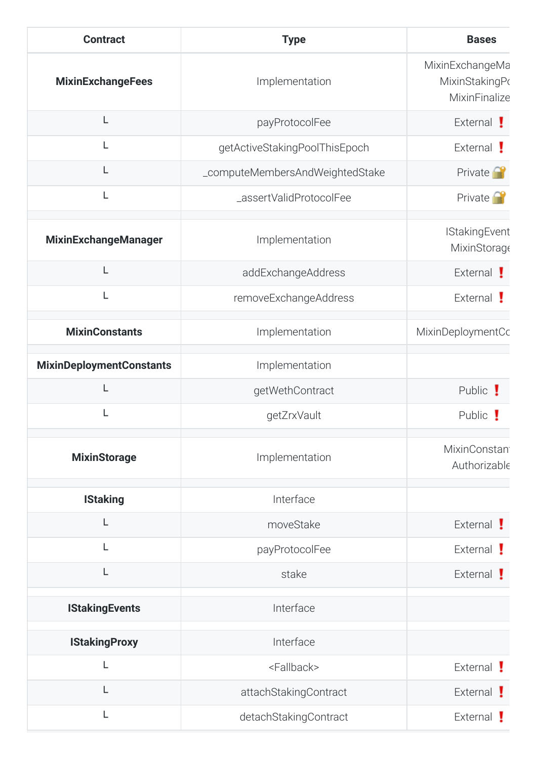| <b>Contract</b>                 | <b>Type</b>                     | <b>Bases</b>                                       |
|---------------------------------|---------------------------------|----------------------------------------------------|
| <b>MixinExchangeFees</b>        | Implementation                  | MixinExchangeMa<br>MixinStakingPo<br>MixinFinalize |
| L                               | payProtocolFee                  | External !                                         |
| L                               | getActiveStakingPoolThisEpoch   | External !                                         |
| L                               | _computeMembersAndWeightedStake | Private <sup>1</sup>                               |
| L                               | _assertValidProtocolFee         | Private <sup>1</sup>                               |
| <b>MixinExchangeManager</b>     | Implementation                  | <b>IStakingEvent</b><br>MixinStorage               |
|                                 | addExchangeAddress              | External !                                         |
| L                               | removeExchangeAddress           | External !                                         |
| <b>MixinConstants</b>           | Implementation                  | MixinDeploymentCc                                  |
| <b>MixinDeploymentConstants</b> | Implementation                  |                                                    |
|                                 | getWethContract                 | Public !                                           |
|                                 | getZrxVault                     | Public                                             |
| <b>MixinStorage</b>             | Implementation                  | <b>MixinConstant</b><br>Authorizable               |
| <b>IStaking</b>                 | Interface                       |                                                    |
| Г                               | moveStake                       | External !                                         |
|                                 | payProtocolFee                  | External                                           |
| L                               | stake                           | External !                                         |
| <b>IStakingEvents</b>           | Interface                       |                                                    |
| <b>IStakingProxy</b>            | Interface                       |                                                    |
|                                 | <fallback></fallback>           | External !                                         |
|                                 | attachStakingContract           | External                                           |
| L                               | detachStakingContract           | External !                                         |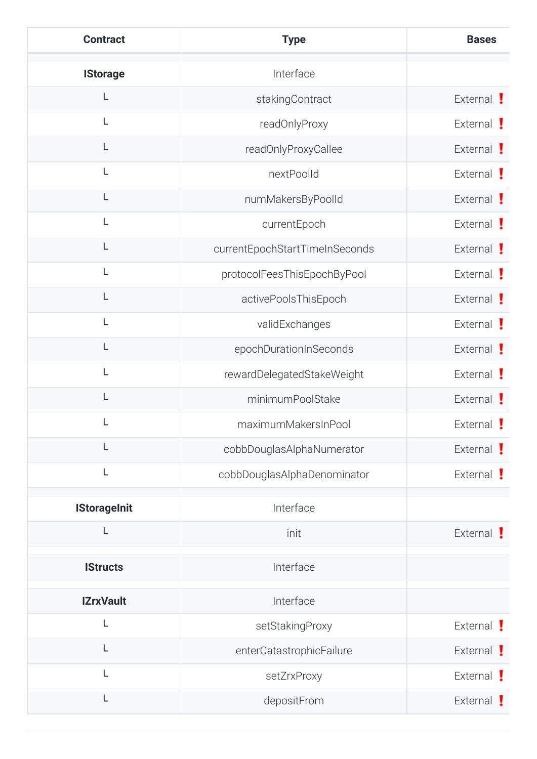| <b>Contract</b>     | <b>Type</b>                    | <b>Bases</b> |
|---------------------|--------------------------------|--------------|
| <b>IStorage</b>     | Interface                      |              |
| L                   | stakingContract                | External !   |
| L                   | readOnlyProxy                  | External !   |
| L                   | readOnlyProxyCallee            | External !   |
| L                   | nextPoolId                     | External !   |
| L                   | numMakersByPoolId              | External !   |
| L                   | currentEpoch                   | External !   |
| L                   | currentEpochStartTimeInSeconds | External !   |
| L                   | protocolFeesThisEpochByPool    | External !   |
| L                   | activePoolsThisEpoch           | External !   |
| L                   | validExchanges                 | External !   |
| L                   | epochDurationInSeconds         | External !   |
| L                   | rewardDelegatedStakeWeight     | External !   |
| L                   | minimumPoolStake               | External !   |
|                     | maximumMakersInPool            | External !   |
| L                   | cobbDouglasAlphaNumerator      | External !   |
| L                   | cobbDouglasAlphaDenominator    | External !   |
| <b>IStoragelnit</b> | Interface                      |              |
| L                   | init                           | External !   |
| <b>IStructs</b>     | Interface                      |              |
| <b>IZrxVault</b>    | Interface                      |              |
| L                   | setStakingProxy                | External !   |
| L                   | enterCatastrophicFailure       | External !   |
| L                   | setZrxProxy                    | External !   |
| L                   | depositFrom                    | External !   |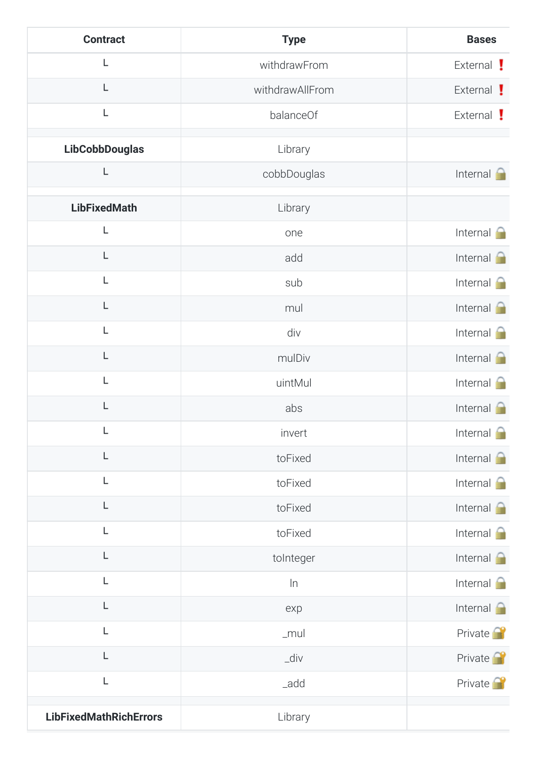| <b>Contract</b>               | <b>Type</b>     | <b>Bases</b>         |
|-------------------------------|-----------------|----------------------|
| L                             | withdrawFrom    | External !           |
| L                             | withdrawAllFrom | External !           |
| L                             | balanceOf       | External !           |
| <b>LibCobbDouglas</b>         | Library         |                      |
| L                             | cobbDouglas     | Internal             |
| <b>LibFixedMath</b>           | Library         |                      |
| L                             | one             | Internal             |
| L                             | add             | Internal             |
| L                             | sub             | Internal             |
| Г                             | mul             | Internal             |
| L                             | div             | Internal             |
| L                             | mulDiv          | Internal             |
| L                             | uintMul         | Internal             |
| L                             | abs             | Internal             |
| L                             | invert          | Internal             |
| L                             | toFixed         | Internal             |
| L                             | toFixed         | Internal             |
| L                             | toFixed         | Internal             |
| L                             | toFixed         | Internal             |
| L                             | toInteger       | Internal             |
| L                             | $\ln$           | Internal             |
| L                             | exp             | Internal             |
| L                             | $\_mul$         | Private <sup>2</sup> |
| L                             | $\_div$         | Private <sup>2</sup> |
| L                             | _add            | Private <sup>2</sup> |
| <b>LibFixedMathRichErrors</b> | Library         |                      |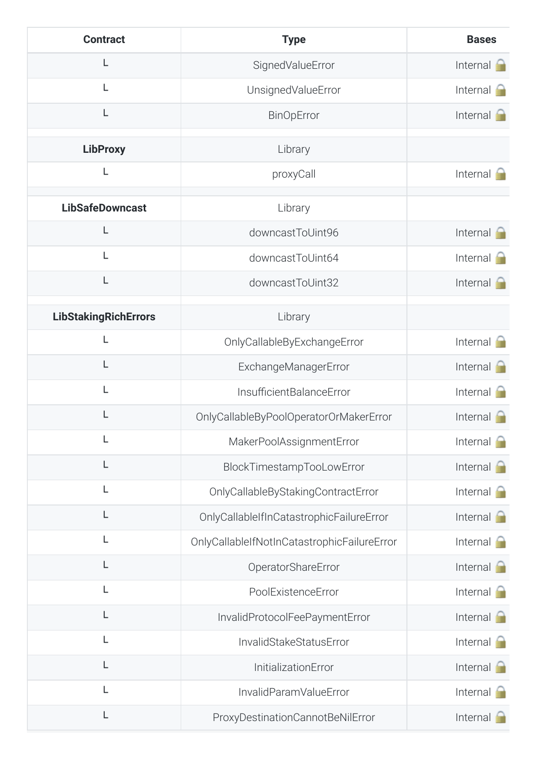| <b>Contract</b>             | <b>Type</b>                                 | <b>Bases</b> |
|-----------------------------|---------------------------------------------|--------------|
| L                           | SignedValueError                            | Internal     |
| L                           | UnsignedValueError                          | Internal     |
| L                           | BinOpError                                  | Internal     |
| <b>LibProxy</b>             | Library                                     |              |
| L                           | proxyCall                                   | Internal     |
| <b>LibSafeDowncast</b>      | Library                                     |              |
| L                           | downcastToUint96                            | Internal     |
| L                           | downcastToUint64                            | Internal     |
| L                           | downcastToUint32                            | Internal     |
| <b>LibStakingRichErrors</b> | Library                                     |              |
| L                           | OnlyCallableByExchangeError                 | Internal     |
| L                           | ExchangeManagerError                        | Internal     |
| L                           | InsufficientBalanceError                    | Internal     |
| L                           | OnlyCallableByPoolOperatorOrMakerError      | Internal     |
| L                           | MakerPoolAssignmentError                    | Internal     |
| L                           | BlockTimestampTooLowError                   | Internal     |
| L                           | OnlyCallableByStakingContractError          | Internal     |
| L                           | OnlyCallableIfInCatastrophicFailureError    | Internal     |
| L                           | OnlyCallableIfNotInCatastrophicFailureError | Internal     |
| L                           | OperatorShareError                          | Internal     |
| L                           | PoolExistenceError                          | Internal     |
| L                           | InvalidProtocolFeePaymentError              | Internal     |
| L                           | InvalidStakeStatusError                     | Internal     |
| L                           | InitializationError                         | Internal     |
| L                           | InvalidParamValueError                      | Internal     |
| L                           | ProxyDestinationCannotBeNilError            | Internal     |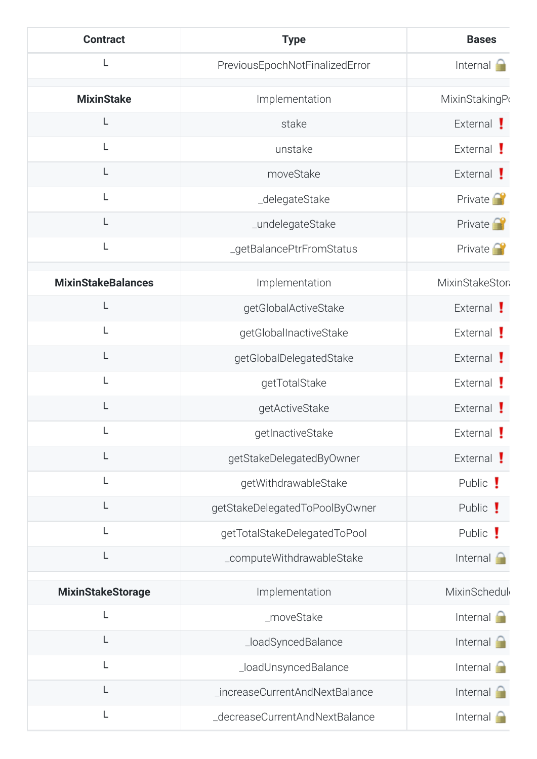| <b>Contract</b>           | <b>Type</b>                    | <b>Bases</b>          |
|---------------------------|--------------------------------|-----------------------|
| L                         | PreviousEpochNotFinalizedError | Internal              |
| <b>MixinStake</b>         | Implementation                 | MixinStakingPo        |
| L                         | stake                          | External !            |
| L                         | unstake                        | External !            |
| L                         | moveStake                      | External !            |
| L                         | _delegateStake                 | Private <sup>2</sup>  |
| L                         | _undelegateStake               | Private <sup>2</sup>  |
|                           | _getBalancePtrFromStatus       | Private <sup>1</sup>  |
| <b>MixinStakeBalances</b> | Implementation                 | <b>MixinStakeStor</b> |
| L                         | getGlobalActiveStake           | External !            |
| L                         | getGlobalInactiveStake         | External !            |
|                           | getGlobalDelegatedStake        | External !            |
| L                         | getTotalStake                  | External              |
| L                         | getActiveStake                 | External              |
| L                         | getInactiveStake               | External !            |
| L                         | getStakeDelegatedByOwner       | External !            |
| L                         | getWithdrawableStake           | Public !              |
| L                         | getStakeDelegatedToPoolByOwner | Public !              |
| L                         | getTotalStakeDelegatedToPool   | Public !              |
| L                         | _computeWithdrawableStake      | Internal              |
| <b>MixinStakeStorage</b>  | Implementation                 | MixinSchedul          |
| L                         | _moveStake                     | Internal              |
| L                         | _loadSyncedBalance             | Internal              |
| L                         | _loadUnsyncedBalance           | Internal              |
| L                         | _increaseCurrentAndNextBalance | Internal              |
| L                         | _decreaseCurrentAndNextBalance | Internal              |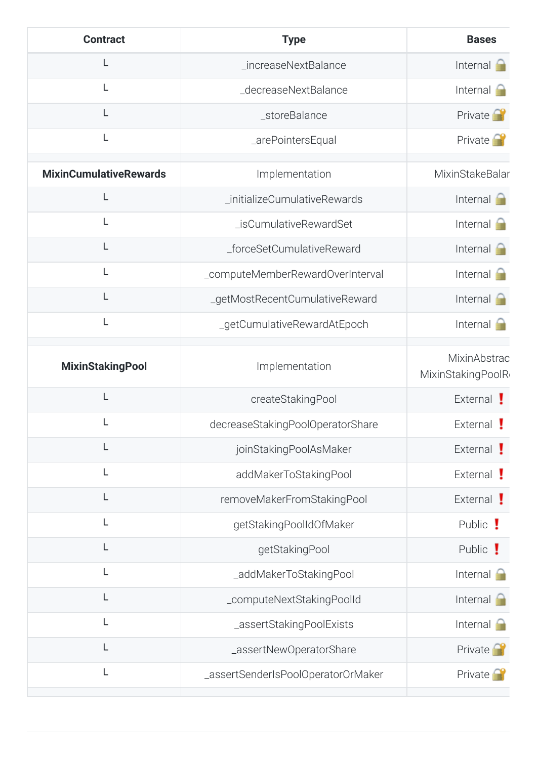| <b>Contract</b>               | <b>Type</b>                        | <b>Bases</b>                      |
|-------------------------------|------------------------------------|-----------------------------------|
| L                             | _increaseNextBalance               | Internal                          |
|                               | decreaseNextBalance                | Internal                          |
| L                             | _storeBalance                      | Private <sup>1</sup>              |
| L                             | _arePointersEqual                  | Private <sup>1</sup>              |
| <b>MixinCumulativeRewards</b> | Implementation                     | MixinStakeBalar                   |
| L                             | _initializeCumulativeRewards       | Internal                          |
| L                             | _isCumulativeRewardSet             | Internal                          |
|                               | _forceSetCumulativeReward          | Internal                          |
| L                             | _computeMemberRewardOverInterval   | Internal                          |
|                               | _getMostRecentCumulativeReward     | Internal                          |
| L                             | _getCumulativeRewardAtEpoch        | Internal                          |
| <b>MixinStakingPool</b>       | Implementation                     | MixinAbstrac<br>MixinStakingPoolR |
|                               | createStakingPool                  | External !                        |
|                               | decreaseStakingPoolOperatorShare   | External                          |
|                               | joinStakingPoolAsMaker             | External !                        |
|                               | addMakerToStakingPool              | External                          |
|                               | removeMakerFromStakingPool         | External !                        |
| L                             | getStakingPoolIdOfMaker            | Public !                          |
|                               | getStakingPool                     | Public !                          |
|                               | _addMakerToStakingPool             | Internal                          |
|                               | _computeNextStakingPoolId          | Internal                          |
|                               | _assertStakingPoolExists           | Internal                          |
|                               | _assertNewOperatorShare            | Private <b>Private</b>            |
| L                             | _assertSenderIsPoolOperatorOrMaker | Private <b>Private</b>            |
|                               |                                    |                                   |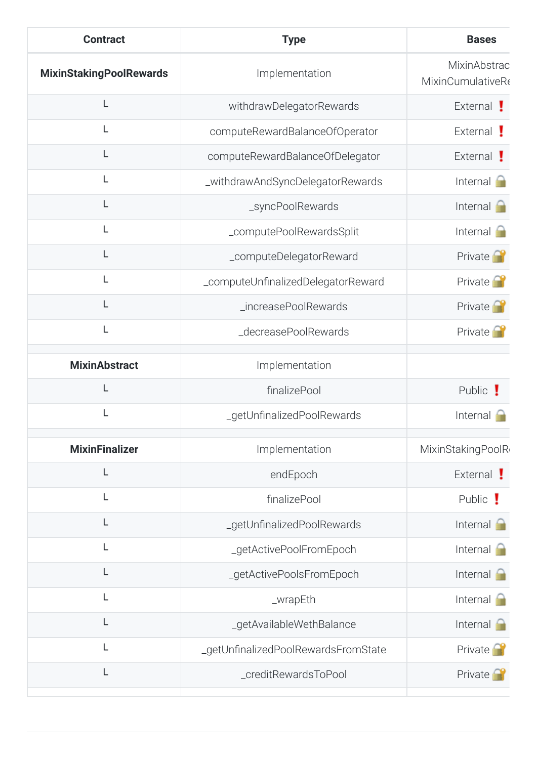| <b>Contract</b>                | <b>Type</b>                         | <b>Bases</b>                      |
|--------------------------------|-------------------------------------|-----------------------------------|
| <b>MixinStakingPoolRewards</b> | Implementation                      | MixinAbstrac<br>MixinCumulativeRe |
| L                              | withdrawDelegatorRewards            | External !                        |
|                                | computeRewardBalanceOfOperator      | External !                        |
|                                | computeRewardBalanceOfDelegator     | External !                        |
| L                              | _withdrawAndSyncDelegatorRewards    | Internal                          |
| L                              | _syncPoolRewards                    | Internal                          |
| L                              | _computePoolRewardsSplit            | Internal                          |
| L                              | _computeDelegatorReward             | Private <b>f</b>                  |
| L                              | _computeUnfinalizedDelegatorReward  | Private <sup>1</sup>              |
| L                              | _increasePoolRewards                | Private <sup>1</sup>              |
| L                              | _decreasePoolRewards                | Private <b>P</b>                  |
| <b>MixinAbstract</b>           | Implementation                      |                                   |
|                                | finalizePool                        | Public !                          |
| L                              | _getUnfinalizedPoolRewards          | Internal                          |
| <b>MixinFinalizer</b>          | Implementation                      | MixinStakingPoolR                 |
| L                              | endEpoch                            | External !                        |
| L                              | finalizePool                        | Public !                          |
| L                              | _getUnfinalizedPoolRewards          | Internal                          |
|                                | _getActivePoolFromEpoch             | Internal                          |
| L                              | _getActivePoolsFromEpoch            | Internal                          |
| L                              | _wrapEth                            | Internal                          |
|                                | _getAvailableWethBalance            | Internal                          |
| L                              | _getUnfinalizedPoolRewardsFromState | Private <sup>1</sup>              |
| L                              | _creditRewardsToPool                | Private <b>f</b>                  |
|                                |                                     |                                   |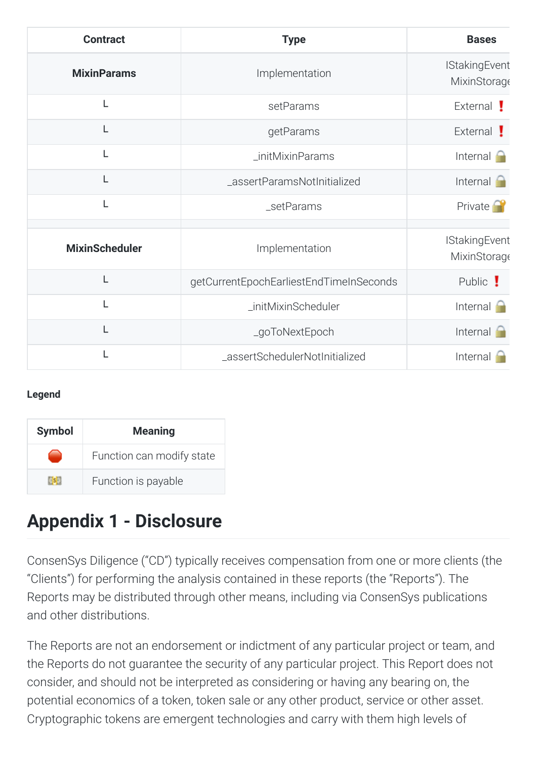| <b>Contract</b>       | <b>Type</b>                             | <b>Bases</b>                         |
|-----------------------|-----------------------------------------|--------------------------------------|
| <b>MixinParams</b>    | Implementation                          | <b>IStakingEvent</b><br>MixinStorage |
| L                     | setParams                               | External !                           |
|                       | getParams                               | External !                           |
| L                     | _initMixinParams                        | Internal                             |
|                       | _assertParamsNotInitialized             | Internal                             |
| L                     | setParams                               | Private <sup>1</sup>                 |
| <b>MixinScheduler</b> | Implementation                          | <b>IStakingEvent</b><br>MixinStorage |
|                       | getCurrentEpochEarliestEndTimeInSeconds | Public !                             |
| L                     | _initMixinScheduler                     | Internal                             |
|                       | _goToNextEpoch                          | Internal                             |
|                       | _assertSchedulerNotInitialized          | Internal                             |

### **Legend**

| <b>Symbol</b> | <b>Meaning</b>            |
|---------------|---------------------------|
|               | Function can modify state |
|               | Function is payable       |

# <span id="page-47-0"></span>**Appendix
1
Disclosure**

ConsenSys
Diligence
("CD")
typically
receives
compensation
from
one
or
more
clients
(the "Clients") for performing the analysis contained in these reports (the "Reports"). The Reports
may
be
distributed
through
other
means,
including
via
ConsenSys
publications and
other
distributions.

The Reports are not an endorsement or indictment of any particular project or team, and the
Reports
do
not
guarantee
the
security
of
any
particular
project.
This
Report
does
not consider,
and
should
not
be
interpreted
as
considering
or
having
any
bearing
on,
the potential
economics
of
a
token,
token
sale
or
any
other
product,
service
or
other
asset. Cryptographic
tokens
are
emergent
technologies
and
carry
with
them
high
levels
of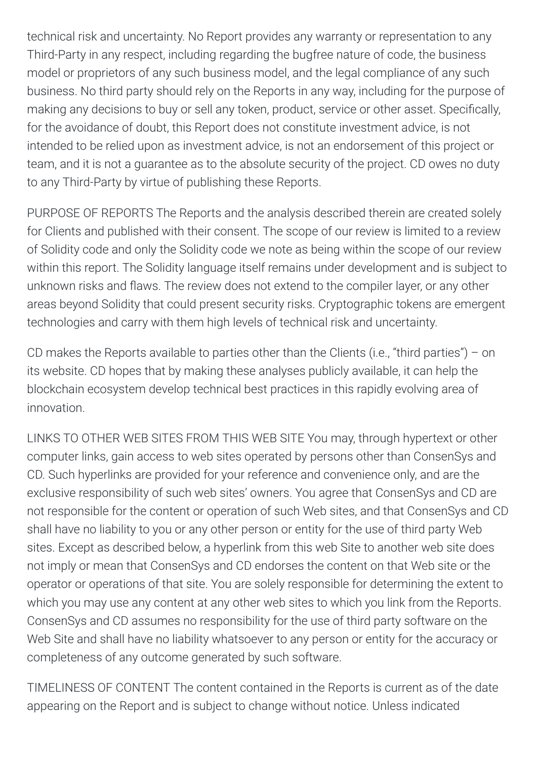technical risk and uncertainty. No Report provides any warranty or representation to any Third-Party in any respect, including regarding the bugfree nature of code, the business model or proprietors of any such business model, and the legal compliance of any such business. No third party should rely on the Reports in any way, including for the purpose of making any decisions to buy or sell any token, product, service or other asset. Specifically, for the avoidance of doubt, this Report does not constitute investment advice, is not intended to be relied upon as investment advice, is not an endorsement of this project or team, and it is not a quarantee as to the absolute security of the project. CD owes no duty to
any
Third-Party
by
virtue
of
publishing
these
Reports.

PURPOSE OF REPORTS The Reports and the analysis described therein are created solely for Clients and published with their consent. The scope of our review is limited to a review of Solidity code and only the Solidity code we note as being within the scope of our review within this report. The Solidity language itself remains under development and is subject to unknown risks and flaws. The review does not extend to the compiler layer, or any other areas
beyond
Solidity
that
could
present
security
risks.
Cryptographic
tokens
are
emergent technologies and carry with them high levels of technical risk and uncertainty.

CD makes the Reports available to parties other than the Clients (i.e., "third parties") - on its website. CD hopes that by making these analyses publicly available, it can help the blockchain ecosystem develop technical best practices in this rapidly evolving area of innovation.

LINKS
TO
OTHER
WEB
SITES
FROM
THIS
WEB
SITE
You
may,
through
hypertext
or
other computer
links,
gain
access
to
web
sites
operated
by
persons
other
than
ConsenSys
and CD. Such hyperlinks are provided for your reference and convenience only, and are the exclusive responsibility of such web sites' owners. You agree that ConsenSys and CD are not responsible for the content or operation of such Web sites, and that ConsenSys and CD shall have no liability to you or any other person or entity for the use of third party Web sites. Except as described below, a hyperlink from this web Site to another web site does not imply or mean that ConsenSys and CD endorses the content on that Web site or the operator or operations of that site. You are solely responsible for determining the extent to which you may use any content at any other web sites to which you link from the Reports. Consen Sys and CD assumes no responsibility for the use of third party software on the Web Site and shall have no liability whatsoever to any person or entity for the accuracy or completeness
of
any
outcome
generated
by
such
software.

TIMELINESS
OF
CONTENT
The
content
contained
in
the
Reports
is
current
as
of
the
date appearing
on
the
Report
and
is
subject
to
change
without
notice.
Unless
indicated